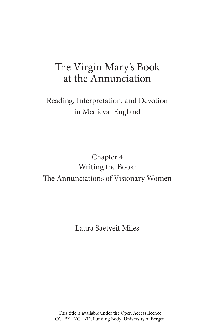# The Virgin Mary's Book at the Annunciation

Reading, Interpretation, and Devotion in Medieval England

Chapter 4 Writing the Book: The Annunciations of Visionary Women

Laura Saetveit Miles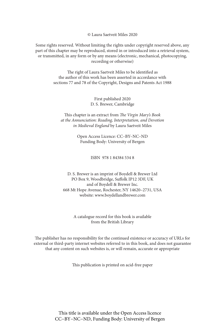© Laura Saetveit Miles 2020

Some rights reserved. Without limiting the rights under copyright reserved above, any part of this chapter may be reproduced, stored in or introduced into a retrieval system, or transmitted, in any form or by any means (electronic, mechanical, photocopying, recording or otherwise)

> The right of Laura Saetveit Miles to be identified as the author of this work has been asserted in accordance with sections 77 and 78 of the Copyright, Designs and Patents Act 1988

> > First published 2020 D. S. Brewer, Cambridge

This chapter is an extract from *The Virgin Mary's Book at the Annunciation: Reading, Interpretation, and Devotion in Medieval England* by Laura Saetveit Miles

> Open Access Licence: CC–BY–NC–ND Funding Body: University of Bergen

> > ISBN 978 1 84384 534 8

D. S. Brewer is an imprint of Boydell & Brewer Ltd PO Box 9, Woodbridge, Suffolk IP12 3DF, UK and of Boydell & Brewer Inc. 668 Mt Hope Avenue, Rochester, NY 14620–2731, USA website: www.boydellandbrewer.com

> A catalogue record for this book is available from the British Library

The publisher has no responsibility for the continued existence or accuracy of URLs for external or third-party internet websites referred to in this book, and does not guarantee that any content on such websites is, or will remain, accurate or appropriate

This publication is printed on acid-free paper

This title is available under the Open Access licence CC−BY−NC−ND, Funding Body: University of Bergen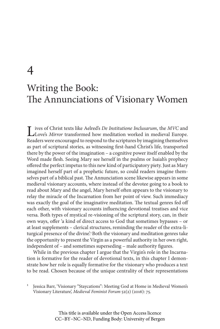4

# Writing the Book: The Annunciations of Visionary Women

Lives of Christ texts like Aelred's *De Institutione Inclusarum*, the *MVC* and Love's *Mirror* transformed how meditation worked in medieval Europe. Readers were encouraged to respond to the scriptures by imagining themselves as part of scriptural stories, as witnessing first-hand Christ's life, transported there by the power of the imagination – a cognitive power itself enabled by the Word made flesh. Seeing Mary see herself in the psalms or Isaiah's prophecy offered the perfect impetus to this new kind of participatory piety. Just as Mary imagined herself part of a prophetic future, so could readers imagine themselves part of a biblical past. The Annunciation scene likewise appears in some medieval visionary accounts, where instead of the devotee going to a book to read about Mary and the angel, Mary herself often appears to the visionary to relay the miracle of the Incarnation from her point of view. Such immediacy was exactly the goal of the imaginative meditation. The textual genres fed off each other, with visionary accounts influencing devotional treatises and vice versa. Both types of mystical re-visioning of the scriptural story, can, in their own ways, offer 'a kind of direct access to God that sometimes bypasses – or at least supplements – clerical structures, reminding the reader of the extra-liturgical presence of the divine'.<sup>1</sup> Both the visionary and meditation genres take the opportunity to present the Virgin as a powerful authority in her own right, independent of – and sometimes superseding – male authority figures.

While in the previous chapter I argue that the Virgin's role in the Incarnation is formative for the reader of devotional texts, in this chapter I demonstrate how her role is equally formative for the visionary who produces a text to be read. Chosen because of the unique centrality of their representations

<sup>&</sup>lt;sup>1</sup> Jessica Barr, 'Visionary "Staycations": Meeting God at Home in Medieval Women's Visionary Literature', *Medieval Feminist Forum* 52(2) (2016): 75.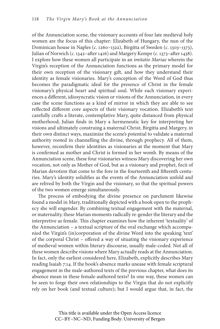of the Annunciation scene, the visionary accounts of four late medieval holy women are the focus of this chapter: Elizabeth of Hungary, the nun of the Dominican house in Naples (*c*. 1260–1322), Birgitta of Sweden (*c*. 1303–1373), Julian of Norwich (*c*. 1342–after 1416) and Margery Kempe (*c*. 1373–after 1438). I explore how these women all participate in an *imitatio Mariae* wherein the Virgin's reception of the Annunciation functions as the primary model for their own reception of the visionary gift, and how they understand their identity as female visionaries. Mary's conception of the Word of God thus becomes the paradigmatic ideal for the presence of Christ in the female visionary's physical heart and spiritual soul. While each visionary experiences a different, idiosyncratic vision or visions of the Annunciation, in every case the scene functions as a kind of mirror in which they are able to see reflected different core aspects of their visionary vocation. Elizabeth's text carefully crafts a literate, contemplative Mary, quite distanced from physical motherhood; Julian finds in Mary a hermeneutic key for interpreting her visions and ultimately construing a maternal Christ; Birgitta and Margery, in their own distinct ways, maximize the scene's potential to validate a maternal authority rooted in channelling the divine, through prophecy. All of them, however, reconfirm their identities as visionaries at the moment that Mary is confirmed as mother and Christ is formed in her womb. By means of the Annunciation scene, these four visionaries witness Mary discovering her own vocation, not only as Mother of God, but as a visionary and prophet, focii of Marian devotion that come to the fore in the fourteenth and fifteenth centuries. Mary's identity solidifies as the events of the Annunciation unfold and are relived by both the Virgin and the visionary, so that the spiritual powers of the two women emerge simultaneously.

The process of embodying the divine presence on parchment likewise found a model in Mary, traditionally depicted with a book open to the prophecy she will engender. By combining textual engagement with the maternal, or maternality, these Marian moments radically re-gender the literary and the interpretive as female. This chapter examines how the inherent 'textuality' of the Annunciation – a textual scripture of the oral exchange which accompanied the Virgin's (in)corporation of the divine Word into the speaking 'text' of the corporal Christ – offered a way of situating the visionary experience of medieval women within literary discourse, usually male-coded. Not all of these women describe visions where Mary actually reads at the Annunciation. In fact, only the earliest considered here, Elizabeth, explicitly describes Mary reading Isaiah 7:14. If the book's absence marks unease with female scriptural engagement in the male-authored texts of the previous chapter, what does its absence mean in these female-authored texts? In one way, these women can be seen to forge their own relationships to the Virgin that do not explicitly rely on her book (and textual culture); but I would argue that, in fact, the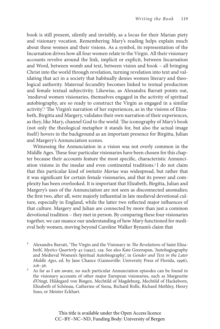book is still present, silently and invisibly, as a locus for their Marian piety and visionary vocation. Remembering Mary's reading helps explain much about these women and their visions. As a symbol, its representation of the Incarnation drives how all four women relate to the Virgin. All their visionary accounts revolve around the link, implicit or explicit, between Incarnation and Word, between womb and text, between vision and book – all bringing Christ into the world through revelation, turning revelation into text and validating that act in a society that habitually denies women literary and theological authority. Maternal fecundity becomes linked to textual production and female textual subjectivity. Likewise, as Alexandra Barratt points out, 'medieval women visionaries, themselves engaged in the activity of spiritual autobiography, are so ready to construct the Virgin as engaged in a similar activity'.2 The Virgin's narration of her experiences, as in the visions of Elizabeth, Birgitta and Margery, validates their own narration of their experiences, as they, like Mary, channel God to the world. The iconography of Mary's book (not only the theological metaphor it stands for, but also the actual image itself) hovers in the background as an important presence for Birgitta, Julian and Margery's Annunciation scenes.

Witnessing the Annunciation in a vision was not overly common in the Middle Ages. These four particular visionaries have been chosen for this chapter because their accounts feature the most specific, characteristic Annunciation visions in the insular and even continental traditions.3 I do not claim that this particular kind of *imitatio Mariae* was widespread, but rather that it was significant for certain female visionaries, and that its power and complexity has been overlooked. It is important that Elizabeth, Birgitta, Julian and Margery's uses of the Annunciation are not seen as disconnected anomalies; the first two, after all, were majorly influential in late medieval devotional culture, especially in England, while the latter two reflected major influences of that culture. Margery and Julian are connected by more than just a common devotional tradition – they met in person. By comparing these four visionaries together, we can nuance our understanding of how Mary functioned for medieval holy women, moving beyond Caroline Walker Bynum's claim that

- 2 Alexandra Barratt, 'The Virgin and the Visionary in *The Revelations* of Saint Elizabeth', *Mystics Quarterly* 42 (1992), 129. See also Kate Greenspan, 'Autohagiography and Medieval Women's Spiritual Autobiography', in *Gender and Text in the Later Middle Ages*, ed. by Jane Chance (Gainesville: University Press of Florida, 1996), 216–36.
- <sup>3</sup> As far as I am aware, no such particular Annunciation episodes can be found in the visionary accounts of other major European visionaries, such as Margeurite d'Oingt, Hildegard von Bingen, Mechtild of Magdeburg, Mechtild of Hackeborn, Elizabeth of Schönau, Catherine of Siena, Richard Rolle, Richard Methley, Henry Suso, or Meister Eckhart.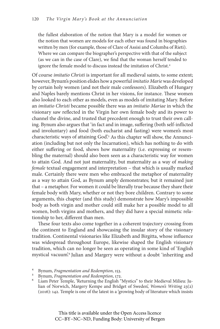the fullest elaboration of the notion that Mary is a model for women or the notion that women are models for each other was found in biographies written by men (for example, those of Clare of Assisi and Columba of Rieti). Where we can compare the biographer's perspective with that of the subject (as we can in the case of Clare), we find that the woman herself tended to ignore the female model to discuss instead the imitation of Christ.<sup>4</sup>

Of course *imitatio Christi* is important for all medieval saints, to some extent; however, Bynum's position elides how a powerful *imitatio Marie* was developed by certain holy women (and not their male confessors). Elizabeth of Hungary and Naples barely mentions Christ in her visions, for instance. These women also looked to each other as models, even as models of imitating Mary. Before an *imitatio Christi* became possible there was an *imitatio Mariae* in which the visionary saw reflected in the Virgin her own female body and its power to channel the divine, and trusted that precedent enough to trust their own calling. Bynum also argues that 'in fact and in image, suffering (both self-inflicted and involuntary) and food (both eucharist and fasting) were women's most characteristic ways of attaining God'.5 As this chapter will show, the Annunciation (including but not only the Incarnation), which has nothing to do with either suffering or food, shows how maternality (i.e. expressing or resembling the maternal) should also been seen as a characteristic way for women to attain God. And not just maternality, but maternality as a way of *making female* textual engagement and interpretation – that which is usually marked male. Certainly there were men who embraced the metaphor of maternality as a way to attain God, as Bynum amply demonstrates; but it remained just that – a metaphor. For women it could be literally true because they share their female body with Mary, whether or not they bore children. Contrary to some arguments, this chapter (and this study) demonstrate how Mary's impossible body as both virgin and mother could still make her a possible model to all women, both virgins and mothers, and they did have a special mimetic relationship to her, different than men.

These four texts also come together in a coherent trajectory crossing from the continent to England and showcasing the insular story of the visionary tradition. Continental visionaries like Elizabeth and Birgitta, whose influence was widespread throughout Europe, likewise shaped the English visionary tradition, which can no longer be seen as operating in some kind of 'English mystical vacuum'.<sup>6</sup> Julian and Margery were without a doubt 'inheriting and

<sup>4</sup> Bynum, *Fragmentation and Redemption*, 153.

<sup>5</sup> Bynum, *Fragmentation and Redemption*, 172.

<sup>6</sup> Liam Peter Temple, 'Returning the English "Mystics" to their Medieval Milieu: Julian of Norwich, Margery Kempe and Bridget of Sweden', *Women's Writing* 23(2) (2016): 142. Temple is one of the latest in a 'growing body of literature which insists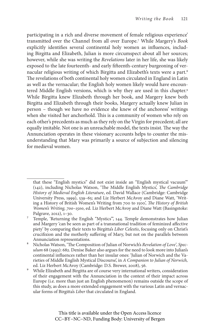participating in a rich and diverse movement of female religious experience' transmitted over the Channel from all over Europe.7 While Margery's *Book* explicitly identifies several continental holy women as influences, including Birgitta and Elizabeth, Julian is more circumspect about all her sources; however, while she was writing the *Revelations* later in her life, she was likely exposed to the late fourteenth- and early fifteenth-century burgeoning of vernacular religious writing of which Birgitta and Elizabeth's texts were a part.8 The revelations of both continental holy women circulated in England in Latin as well as the vernacular; the English holy women likely would have encountered Middle English versions, which is why they are used in this chapter.9 While Birgitta knew Elizabeth through her book, and Margery knew both Birgitta and Elizabeth through their books, Margery actually knew Julian in person – though we have no evidence she knew of the anchoress' writings when she visited her anchorhold. This is a community of women who rely on each other's precedents as much as they rely on the Virgin for precedent; all are equally imitable. Not one is an unreachable model, the texts insist. The way the Annunciation operates in these visionary accounts helps to counter the misunderstanding that Mary was primarily a source of subjection and silencing for medieval women.

that these "English mystics" did not exist inside an "English mystical vacuum"' (142), including Nicholas Watson, 'The Middle English Mystics', *The Cambridge History of Medieval English Literature*, ed. David Wallace (Cambridge: Cambridge University Press, 1999), 539–65; and Liz Herbert McAvoy and Diane Watt, 'Writing a History of British Women's Writing from 700 to 1500', *The History of British Women's Writing, 700–1500*, ed. Liz Herbert McAvoy and Diane Watt (Basingstoke: Palgrave, 2012), 1–30.

<sup>&</sup>lt;sup>7</sup> Temple, 'Returning the English "Mystics", 144. Temple demonstrates how Julian and Margery 'can be seen as part of a transnational tradition of feminized affective piety' by comparing their texts to Birgitta's *Liber Celestis*, focusing only on Christ's crucifixion and the motherly suffering of Mary, but not on the parallels between Annunciation representations.

<sup>8</sup> Nicholas Watson, 'The Composition of Julian of Norwich's *Revelation of Love'*, *Speculum* 68 (1993): 682. Denise Baker also argues for the need to look more into Julian's continental influences rather than her insular ones: 'Julian of Norwich and the Varieties of Middle English Mystical Discourse', in *A Companion to Julian of Norwich,* ed. Liz Herbert McAvoy (Cambridge: D.S. Brewer, 2008), 56.

<sup>9</sup> While Elizabeth and Birgitta are of course very international writers, consideration of their engagement with the Annunciation in the context of their impact across Europe (i.e. more than just an English phenomenon) remains outside the scope of this study, as does a more extended engagement with the various Latin and vernacular forms of Birgitta's *Liber* that circulated in England.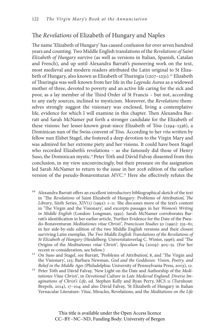# The *Revelations* of Elizabeth of Hungary and Naples

The name 'Elizabeth of Hungary' has caused confusion for over seven hundred years and counting. Two Middle English translations of the *Revelations of Saint Elizabeth of Hungary* survive (as well as versions in Italian, Spanish, Catalan and French), and up until Alexandra Barratt's pioneering work on the text, most medieval and modern readers attributed the Latin original to St Elizabeth of Hungary, also known as Elizabeth of Thuringia (1207–1231).<sup>10</sup> Elizabeth of Thuringia was well-known from her life in the *Legenda Aurea* as a widowed mother of three, devoted to poverty and an active life caring for the sick and poor, as a lay member of the Third Order of St Francis – but not, according to any early sources, inclined to mysticism. Moreover, the *Revelations* themselves strongly suggest the visionary was enclosed, living a contemplative life, evidence for which I will examine in this chapter. Then Alexandra Barratt and Sarah McNamer put forth a stronger candidate for the Elizabeth of these visions: her lesser-known great-niece Elizabeth of Töss (1294–1336), a Dominican nun of the Swiss convent of Töss. According to her *vita* written by fellow nun Elsbet Stagel, she fostered a deep devotion to the Virgin Mary and was admired for her extreme piety and her visions. It could have been Stagel who recorded Elizabeth's revelations – as she famously did those of Henry Suso, the Dominican mystic.<sup>11</sup> Peter Tóth and Dávid Falvay dissented from this conclusion, in my view unconvincingly, but their pressure on the assignation led Sarah McNamer to return to the issue in her 2018 edition of the earliest version of the pseudo-Bonaventuran *MVC*. 12 Here she effectively refutes the

Alexandra Barratt offers an excellent introductory bibliographical sketch of the text in 'The *Revelations* of Saint Elizabeth of Hungary: Problems of Attribution', *The Library*, Sixth Series, XIV(1) (1992): 1–11. She discusses more of the text's content in 'The Virgin and the Visionary', and excerpts passages in her *Women's Writing in Middle English* (London: Longman, 1992). Sarah McNamer corroborates Barratt's identification in her earlier article, 'Further Evidence for the Date of the Pseudo-Bonaventuran *Meditationes vitae Christi'*, *Franciscan Studies* 50 (1990): 235–61; in her side-by-side edition of the two Middle English versions and their closest surviving Latin exemplar, *The Two Middle English Translations of the Revelations of St Elizabeth of Hungary* (Heidelberg: Universitatsverlag C. Winter, 1996); and 'The Origins of the *Meditationes vitae Christi'*, *Speculum* 84 (2009): 905–55. (For her recent re-consideration, see below.)

<sup>11</sup> On Suso and Stagel, see Barratt, 'Problems of Attribution', 8, and 'The Virgin and the Visionary', 125; Barbara Newman, *God and the Goddesses: Vision, Poetry, and Belief in the Middle Ages* (Philadelphia: University of Pennsylvania Press, 2003), 12.

12 Peter Tóth and Dávid Falvay, 'New Light on the Date and Authorship of the *Meditationes Vitae Christi'*, in *Devotional Culture in Late Medieval England: Diverse Imaginations of Christ's Life*, ed. Stephen Kelly and Ryan Perry, MCS 11 (Turnhout: Brepols, 2014), 17–104; and also Dávid Falvay, 'St Elizabeth of Hungary in Italian Vernacular Literature: *Vitae*, Miracles, Revelations, and the *Meditations on the Life*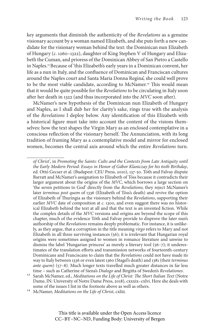key arguments that diminish the authenticity of the *Revelations* as a genuine visionary account by a woman named Elizabeth, and she puts forth a new candidate for the visionary woman behind the text: the Dominican nun Elizabeth of Hungary (*c*. 1260–1322), daughter of King Stephen V of Hungary and Elizabeth the Cuman, and prioress of the Dominican Abbey of San Pietro a Castello in Naples.13 Because of 'this Elizabeth's early years in a Dominican convent, her life as a nun in Italy, and the confluence of Dominican and Franciscan cultures around the Naples court and Santa Maria Donna Regina', she could well prove to be the most viable candidate, according to McNamer.14 This would mean that it would be quite possible for the *Revelations* to be circulating in Italy soon after her death in 1322 (and thus incorporated into the *MVC* soon after).

McNamer's new hypothesis of the Dominican nun Elizabeth of Hungary and Naples, as I shall dub her for clarity's sake, rings true with the analysis of the *Revelations* I deploy below. Any identification of this Elizabeth with a historical figure must take into account the content of the visions themselves: how the text shapes the Virgin Mary as an enclosed contemplative in a conscious reflection of the visionary herself. The Annunciation, with its long tradition of framing Mary as a contemplative model and mirror for enclosed women, becomes the central axis around which the entire *Revelations* turn.

13 Sarah McNamer, ed., *Meditations on the Life of Christ: The Short Italian Text* (Notre Dame, IN: University of Notre Dame Press, 2018), cxxxix–cxlvi. Here she deals with some of the issues I list in the footnote above as well as others.

*of Christ'*, in *Promoting the Saints: Cults and the Contexts from Late Antiquity until the Early Modern Period: Essays in Honor of Gábor Klaniczay for his 60th Birthday*, ed. Ottó Gecser et al. (Budapest: CEU Press, 2010), 137-50. Tóth and Falvay dispute Barratt and McNamer's assignation to Elizabeth of Töss because it contradicts their larger argument about the origins of the *MVC*, which borrows a large section on 'the seven petitions to God' directly from the *Revelations*; they reject McNamer's later *terminus post quem* of 1336 (Elizabeth of Töss's death) and revive the option of Elizabeth of Thuringia as the visionary behind the *Revelations*, supporting their earlier *MVC* date of composition at *c*. 1300, and even suggest there was no historical Elizabeth behind the text at all and that the text is an invented fiction. While the complex details of the *MVC* versions and origins are beyond the scope of this chapter, much of the evidence Tóth and Falvay provide to disprove the later nun's authorship of the *Revelations* remains deeply problematic. For instance, it is unlikely, as they argue, that a corruption in the title meaning *virgo* refers to Mary and not Elizabeth in all three surviving instances (56); it is irrelevant that Hungarian royal origins were sometimes assigned to women in romance literature and unwise to dismiss the label 'Hungarian princess' as merely a literary tool (56–7); it underestimates of the translation efforts and transmission networks of fourteenth-century Dominicans and Franciscans to claim that the *Revelations* could not have made its way to Italy between 1336 or even latest 1360 (Stagel's death) and 1381 (their *terminus ante quem*) (57–8). Much longer texts travelled much greater distances in far less time – such as Catherine of Siena's *Dialogo* and Birgitta of Sweden's *Revelationes*.

<sup>14</sup> McNamer, *Meditations on the Life of Christ*, cxliii.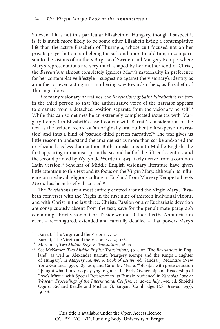So even if it is not this particular Elizabeth of Hungary, though I suspect it is, it is much more likely to be some other Elizabeth living a contemplative life than the active Elizabeth of Thuringia, whose cult focused not on her private prayer but on her helping the sick and poor. In addition, in comparison to the visions of mothers Birgitta of Sweden and Margery Kempe, where Mary's representations are very much shaped by her motherhood of Christ, the *Revelations* almost completely ignores Mary's maternality in preference for her contemplative lifestyle – suggesting against the visionary's identity as a mother or even acting in a mothering way towards others, as Elizabeth of Thuringia does.

Like many visionary narratives, the *Revelations of Saint Elizabeth* is written in the third person so that 'the authoritative voice of the narrator appears to emanate from a detached position separate from the visionary herself.<sup>15</sup> While this can sometimes be an extremely complicated issue (as with Margery Kempe) in Elizabeth's case I concur with Barratt's consideration of the text as the written record of 'an originally oral authentic first-person narration' and thus a kind of 'pseudo-third person narrative'.16 The text gives us little reason to understand the amanuensis as more than scribe and/or editor or Elizabeth as less than author. Both translations into Middle English, the first appearing in manuscript in the second half of the fifteenth century and the second printed by Wykyn de Worde in 1493, likely derive from a common Latin version.<sup>17</sup> Scholars of Middle English visionary literature have given little attention to this text and its focus on the Virgin Mary, although its influence on medieval religious culture in England from Margery Kempe to Love's *Mirror* has been briefly discussed.<sup>18</sup>

The *Revelations* are almost entirely centred around the Virgin Mary; Elizabeth converses with the Virgin in the first nine of thirteen individual visions, and with Christ in the last three. Christ's Passion or any Eucharistic devotion are conspicuously absent from the text, save for the penultimate paragraph containing a brief vision of Christ's side wound. Rather it is the Annunciation event – reconfigured, extended and carefully detailed – that powers Mary's

- 16 Barratt, 'The Virgin and the Visionary', 125, 126.
- 17 McNamer, *Two Middle English Translations*, 16–20.
- 18 See McNamer, *Two Middle English Translations*, 40–8 on 'The *Revelations* in England'; as well as Alexandra Barratt, 'Margery Kempe and the King's Daughter of Hungary', in *Margery Kempe: A Book of Essays*, ed. Sandra J. McEntire (New York: Garland, 1992), 189–201; and Carol M. Meale, '"oft siþis with grete deuotion I þought what I miȝt do pleysyng to god": The Early Ownership and Readership of Love's *Mirror*, with Special Reference to its Female Audience', in *Nicholas Love at Waseda: Proceedings of the International Conference, 20–22 July 1995*, ed. Shoichi Oguro, Richard Beadle and Michael G. Sargent (Cambridge: D.S. Brewer, 1997),  $19 - 46.$

<sup>&</sup>lt;sup>15</sup> Barratt, 'The Virgin and the Visionary', 125.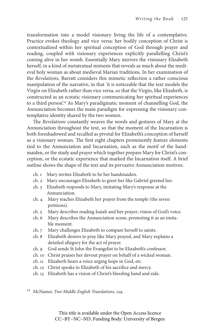transformation into a model visionary living the life of a contemplative. Practice evokes theology and vice versa: her bodily conception of Christ is contextualized within her spiritual conception of God through prayer and reading, coupled with visionary experiences explicitly parallelling Christ's coming alive in her womb. Essentially Mary mirrors the visionary Elizabeth herself, in a kind of metatextual mimesis that reveals as much about the medieval holy woman as about medieval Marian traditions. In her examination of the *Revelations*, Barratt considers this mimetic reflection a rather conscious manipulation of the narrative, in that 'it is noticeable that the text models the Virgin on Elizabeth rather than vice versa, so that the Virgin, like Elizabeth, is constructed as an ecstatic visionary communicating her spiritual experiences to a third person'.19 As Mary's paradigmatic moment of channelling God, the Annunciation becomes the main paradigm for expressing the visionary contemplative identity shared by the two women.

The *Revelations* constantly weaves the words and gestures of Mary at the Annunciation throughout the text, so that the moment of the Incarnation is both foreshadowed and recalled as pivotal for Elizabeth's conception of herself as a visionary woman. The first eight chapters prominently feature elements tied to the Annunciation and Incarnation, such as the motif of the handmaiden, or the study and prayer which together prepare Mary for Christ's conception, or the ecstatic experience that marked the Incarnation itself. A brief outline shows the shape of the text and its pervasive Annunciation motives:

- ch. 1 Mary invites Elizabeth to be her handmaiden.
- ch. 2 Mary encourages Elizabeth to greet her like Gabriel greeted her.
- ch. 3 Elizabeth responds to Mary, imitating Mary's response at the Annunciation.
- ch. 4 Mary teaches Elizabeth her prayer from the temple (the seven petitions).
- ch. 5 Mary describes reading Isaiah and her prayer; vision of God's voice.
- ch. 6 Mary describes the Annunciation scene, promoting it as an imitable moment.
- ch. 7 Mary challenges Elizabeth to compare herself to saints.
- ch. 8 Elizabeth desires to pray like Mary prayed, and Mary explains a detailed allegory for the act of prayer.
- ch. 9 God sends St John the Evangelist to be Elizabeth's confessor.
- ch. 10 Christ praises her devout prayer on behalf of a wicked woman.
- ch. 11 Elizabeth hears a voice urging hope in God, etc.
- ch. 12 Christ speaks to Elizabeth of his sacrifice and mercy.
- ch. 13 Elizabeth has a vision of Christ's bleeding hand and side.

19 McNamer, *Two Middle English Translations*, 129.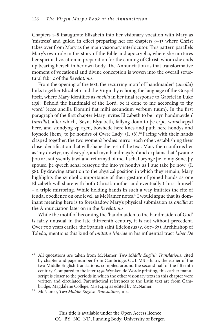Chapters 1–8 inaugurate Elizabeth into her visionary vocation with Mary as 'mistress' and guide, in effect preparing her for chapters 9–13 where Christ takes over from Mary as the main visionary interlocutor. This pattern parallels Mary's own role in the story of the Bible and apocrypha, where she nurtures her spiritual vocation in preparation for the coming of Christ, whom she ends up bearing herself in her own body. The Annunciation as that transformative moment of vocational and divine conception is woven into the overall structural fabric of the *Revelations*.

From the opening of the text, the recurring motif of 'handmaiden' (*ancilla*) links together Elizabeth and the Virgin by echoing the language of the Gospel itself, where Mary identifies as *ancilla* in her final response to Gabriel in Luke 1:38: 'Behold the handmaid of the Lord; be it done to me according to thy word' (ecce ancilla Domini fiat mihi secundum verbum tuum). In the first paragraph of the first chapter Mary invites Elizabeth to be 'myn handmayden' (*ancilla*), after which, 'Seynt Elyȝabeth, fallyng doun to þe erþe, worschepyd here, and stondyng vp aȝen, bowhede here knes and puth here hondys and ioynede [hem] to be hondys of Owre Lady' (I, 58).<sup>20</sup> Facing with their hands clasped together, the two women's bodies mirror each other, establishing their close identification that will shape the rest of the text. Mary then confirms her as 'my dowtyr, my discyple, and myn handmaydyn' and explains that 'qwanne þou art suffysently tawt and reformyd of me, I schal brynge þe to my Sone, þy spouse, þe qwech schal resseyue the into ys hondys as I aue take þe now' (I, 58). By drawing attention to the physical position in which they remain, Mary highlights the symbolic importance of their gesture of joined hands as one Elizabeth will share with both Christ's mother and eventually Christ himself – a triple mirroring. While holding hands in such a way imitates the rite of feudal obedience on one level, as McNamer notes,<sup>21</sup> I would argue that its dominant meaning here is to foreshadow Mary's physical submission as *ancilla* at the Annunciation later on in the *Revelations*.

While the motif of becoming the 'handmaiden to the handmaiden of God' is fairly unusual in the late thirteenth century, it is not without precedent. Over 700 years earlier, the Spanish saint Ildefonsus (*c*. 607–67), Archbishop of Toledo, mentions this kind of *imitatio Mariae* in his influential tract *Liber De* 

<sup>20</sup> All quotations are taken from McNamer, *Two Middle English Translations*, cited by chapter and page number from Cambridge, CUL MS Hh.i.11, the earlier of the two Middle English translations, compiled around the second half of the fifteenth century. Compared to the later 1493 Wynken de Worde printing, this earlier manuscript is closer to the periods in which the other visionary texts in this chapter were written and circulated. Parenthetical references to the Latin text are from Cambridge, Magdalene College, MS F.4.14 as edited by McNamer.

<sup>21</sup> McNamer, *Two Middle English Translations*, 104.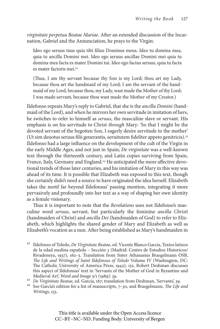*virginitate perpetua Beatae Mariae*. After an extended discussion of the Incarnation, Gabriel and the Annunciation, he prays to the Virgin:

Ideo ego seruus tuus quia tibi filius Dominus meus. Ideo tu domina mea, quia tu ancilla Domini mei. Ideo ego seruus ancillae Domini mei quia tu domina mea facta es mater Domini tui. Ideo ego factus seruus, quia tu facta es mater factoris mei.<sup>22</sup>

(Thus, I am thy servant because thy Son is my Lord; thou art my Lady, because thou art the handmaid of my Lord; I am the servant of the handmaid of my Lord, because thou, my Lady, wast made the Mother of thy Lord; I was made servant, because thou wast made the Mother of my Creator.)

Ildefonso repeats Mary's reply to Gabriel, that she is the *ancilla Domini* (handmaid of the Lord), and when he mirrors her own servitude in imitation of hers, he switches to refer to himself as *seruus*, the masculine slave or servant. His emphasis is on his servitude to Christ *through* Mary: 'So that I might be the devoted servant of the begotten Son, I eagerly desire servitude to the mother' (Ut sim deuotus seruus filii generantis, seruitutem fideliter appeto genitricis).23 Ildefonso had a large influence on the development of the cult of the Virgin in the early Middle Ages, and not just in Spain; *De virginitate* was a well-known text through the thirteenth century, and Latin copies surviving from Spain, France, Italy, Germany and England.<sup>24</sup> He anticipated the more affective devotional trends of those later centuries, and his imitation of Mary in this way was ahead of its time. It is possible that Elizabeth was exposed to this text, though she certainly didn't need a source to have originated the idea herself. Elizabeth takes the motif far beyond Ildefonsus' passing mention, integrating it more pervasively and profoundly into her text as a way of shaping her own identity as a female visionary.

Thus it is important to note that the *Revelations* uses not Ildefonso's masculine word *seruus*, servant, but particularly the feminine *ancilla Christi*  (handmaiden of Christ) and *ancilla Dei* (handmaiden of God) to refer to Elizabeth, which highlights the shared gender of Mary and Elizabeth as well as Elizabeth's vocation as a nun. After being established as Mary's handmaiden in

- 22 Ildefonso of Toledo, *De Virginitate Beatae*, ed. Vicente Blanco García, Textos latinos de la edad medina española – Sección 3 (Madrid: Centro de Estudios Historicos/ Rivadeneya, 1937), 162–3. Translation from Sister Athanasius Braegelmann OSB, *The Life and Writings of Saint Ildefonsus of Toledo* Volume IV (Washington, DC: The Catholic University of America Press, 1942), 152. Robert Deshman discusses this aspect of Ildefonsus' text in 'Servants of the Mother of God in Byzantine and Medieval Art', *Word and Image* 5/1 (1989): 39.
- 23 *De Virginitate Beatae*, ed. García, 167; translation from Deshman, 'Servants', 39.
- 24 See García's edition for a list of manuscripts, 7–30, and Braegelmann, *The Life and Writings*, 133.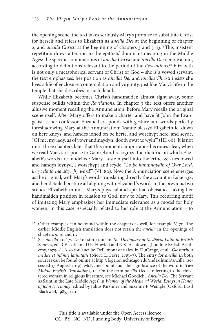the opening scene, the text takes seriously Mary's promise to substitute Christ for herself and refers to Elizabeth as *ancilla Dei* at the beginning of chapter 2, and *ancilla Christi* at the beginning of chapters 3 and 5–13.25 This insistent repetition draws attention to the epithets' dominant meaning in the Middle Ages: the specific combinations of *ancilla Christi* and *ancilla Dei* denote a nun, according to definitions relevant to the period of the *Revelations*. 26 Elizabeth is not only a metaphorical servant of Christ or God – she is a vowed servant, the text emphasizes; her position as *ancilla Dei* and *ancilla Christi* insists she lives a life of enclosure, contemplation and virginity, just like Mary's life in the temple that she describes in such detail.

While Elizabeth becomes Christ's handmaiden almost right away, some suspense builds within the *Revelations*. In chapter 3 the text offers another allusive moment recalling the Annunciation, before Mary recalls the original scene itself. After Mary offers to make a charter and have St John the Evangelist as her confessor, Elizabeth responds with gesture and words perfectly foreshadowing Mary at the Annunciation: 'Þanne blessyd Eliȝabeth fel down on here kneys, and handes ioned on þe herte, and worchypt here, and seyde, "Of me, my lady, as of yowr andmaydyn, dooth qwat ȝe wyln"' (III, 60). It is not until three chapters later that this moment's importance becomes clear, when we read Mary's response to Gabriel and recognize the rhetoric on which Elizabeth's words are modelled: Mary 'keste myself into the erthe, & knes lowed and handys ioynyd, I worschypt and seyde, "*Lo þe handmaydin of Owr Lord, be yt do to me aftyr þy word*"' (VI, 80). Now the Annunciation scene emerges as the original, with Mary's words translating directly the account in Luke 1:38, and her detailed posture all aligning with Elizabeth's words in the previous two scenes. Elizabeth mimics Mary's physical and spiritual obeisance, taking her handmaiden position in relation to God, now to Mary. This recurring motif of imitating Mary emphasizes her immediate relevance as a model for holy women, in this case, especially related to her role at the Annunciation – to

- $25$  Other examples can be found within the chapters as well, for example V, 70. The earlier Middle English translation does not retain the *ancilla* in the openings of chapters 9, 10 and 11.
- 26 See *ancilla* 1.c. '(w. *Dei* or sim.) nun' in *The Dictionary of Medieval Latin in British Sources*, ed. R.E. Latham, D.R. Howlett and R.K. Ashdowne (London: British Academy, 1975-–). Also for 'ancillæ Dei', 'monasteriales' in DuCange, et al., *Glossarium mediæ et infimæ latinitatis* (Niort: L. Favre, 1883–7). The entry for *ancilla* in both sources can be found online at http://logeion.uchicago.edu/index.html#ancilla (accessed 17 August 2019). McNamer points out the significance of the word in *Two Middle English Translations*, 14. On the term *ancilla Dei* as referring to the cloistered woman in religious literature, see Michael Goodich, '*Ancilla Dei*: The Servant as Saint in the Late Middle Ages', in *Women of the Medieval World: Essays in Honor of John H. Handy*, edited by Julius Kirshner and Suzanne F. Wemple (Oxford: Basil Blackwell, 1985), 120.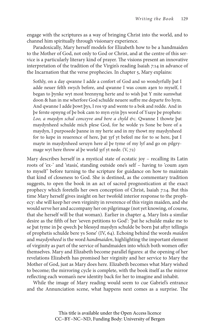engage with the scriptures as a way of bringing Christ into the world, and to channel him spiritually through visionary experience.

Paradoxically, Mary herself models for Elizabeth how to be a handmaiden to the Mother of God, not only to God or Christ, and at the centre of this service is a particularly literary kind of prayer. The visions present an innovative interpretation of the tradition of the Virgin's reading Isaiah 7:14 in advance of the Incarnation that the verse prophecies. In chapter 5, Mary explains:

Sothly, on a day qwanne I adde a confort of God and so wondyrfully þat I adde neuer felth swych before, and qwanne I was coum a3en to myself, I began to þynke wyt most brennyng herte and to wish þat Y mite sumwhat doon & han in me wherfore God schulde neuere suffre me departe fro hym. And qwanne I adde þowt þys, I ros vp and wente to a bok and redde. And in þe ferste opnyng of þe bok cam to myn eyin þys word of Ysaye þe prophete: *Loo, a maydyn schal conceyve and bere a chyld &c.* Qwanne I thowte þat maydynheed schulde mich plese God, for he wolde ys Sone be bore of a maydyn, I purposede þanne in my herte and in my thowt my maydynheed for to kepe in reuerence of here, þat 3yf yt befeel me for to se here, þat I mayte in maydynheed seruyn here al þe tyme of my lyf and go on pilgrymage wyt here throw al þe world 3yf yt nede. (V, 72)

Mary describes herself in a mystical state of ecstatic joy – recalling its Latin roots of 'ex-' and 'stasis', standing outside one's self – having to 'coum aȝen to myself' before turning to the scripture for guidance on how to maintain that kind of closeness to God. She is destined, as the commentary tradition suggests, to open the book in an act of sacred prognostication at the exact prophecy which foretells her own conception of Christ, Isaiah 7:14. But this time Mary herself gives insight on her twofold interior response to the prophecy: she will keep her own virginity in reverence of this virgin maiden, and she would serve her and accompany her on pilgrimage (not yet knowing, of course, that she herself will be that woman). Earlier in chapter 4, Mary lists a similar desire as the fifth of her 'seven petitions to God': 'þat he schulde make me to se þat tyme in þe qwech þe blessyd maydyn schulde be born þat aftyr tellingis of prophetis schulde bere ys Sone' (IV, 64). Echoing behind the words *maiden* and *maydynheed* is the word *handmaiden*, highlighting the important element of virginity as part of the service of handmaiden into which both women offer themselves. Mary and Elizabeth become parallel figures: at the opening of her revelations Elizabeth has promised her virginity and her service to Mary the Mother of God, just as Mary does here. Elizabeth becomes what Mary wished to become; the mirroring cycle is complete, with the book itself as the mirror reflecting each woman's new identity back for her to imagine and inhabit.

While the image of Mary reading would seem to cue Gabriel's entrance and the Annunciation scene, what happens next comes as a surprise. The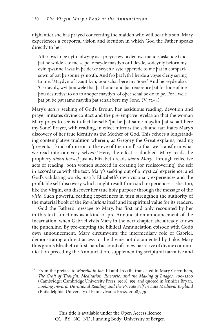night after she has prayed concerning the maiden who will bear his son, Mary experiences a corporeal vision and locution in which God the Father speaks directly to her:

After þys in þe nyth folwyng as I preyde wyt a deuowt mende, askende God þat he wolde lete me se þe forseyde maydyn or I deyde, sodeynly beforn my eyin qwanne I was in þe derke swych a syte apperede to me þat in comparisown of þat þe sonne ys no3th. And fro þat lyth I herde a voyse clerly seying to me, 'Maydyn of Dauit kyn, þou schat bere my Sone.' And he seyde also, 'Certaynly, wyt þou wele that þat honor and þat reuerence þat for loue of me þou desiredyst to do to anoþer maydyn, of oþer schal be do to þe. For I wele þat þu be þat same maydin þat schalt bere my Sone.' (V, 72–4)

Mary's *active* seeking of God's favour, her assiduous reading, devotion and prayer initiates divine contact and the pre-emptive revelation that the woman Mary prays to see is in fact herself: 'þu be þat same maydin þat schalt bere my Sone'. Prayer, with reading, in effect mirrors the self and facilitates Mary's discovery of her true identity as the Mother of God. This echoes a longstanding contemplative tradition wherein, as Gregory the Great explains, reading 'presents a kind of mirror to the eye of the mind' so that we 'transform what we read into our very selves'.<sup>27</sup> Here, the effect is doubled. Mary reads the prophecy *about herself* just as Elizabeth reads *about Mary*. Through reflective acts of reading, both women succeed in creating (or rediscovering) the self in accordance with the text. Mary's seeking out of a mystical experience, and God's validating words, justify Elizabeth's own visionary experiences and the profitable self-discovery which might result from such experiences – she, too, like the Virgin, can discover her true holy purpose through the message of the *visio*. Such powerful reading experiences in turn strengthen the authority of the material book of the *Revelations* itself and its spiritual value for its readers.

God the Father's message to Mary, his first and only recounted by her in this text, functions as a kind of pre-Annunciation announcement of the Incarnation: when Gabriel visits Mary in the next chapter, she already knows the punchline. By pre-empting the biblical Annunciation episode with God's own announcement, Mary circumvents the intermediary role of Gabriel, demonstrating a direct access to the divine not documented by Luke. Mary thus grants Elizabeth a first-hand account of a new narrative of divine communication preceding the Annunciation, supplementing scriptural narrative and

<sup>&</sup>lt;sup>27</sup> From the preface to *Moralia in Job*, Iii and I.xxxiii, translated in Mary Carruthers, *The Craft of Thought: Meditation, Rhetoric, and the Making of Images, 400–1200*  (Cambridge: Cambridge University Press, 1998), 159, and quoted in Jennifer Bryan, *Looking Inward: Devotional Reading and the Private Self in Late Medieval England* (Philadelphia: University of Pennsylvania Press, 2008), 79.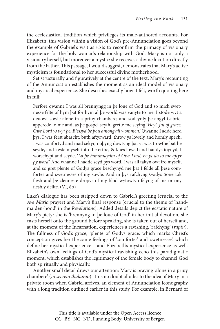the ecclesiastical tradition which privileges its male-authored accounts. For Elizabeth, this vision within a vision of God's pre-Annunciation goes beyond the example of Gabriel's visit as *visio* to reconfirm the primacy of visionary experience for the holy woman's relationship with God. Mary is not only a visionary herself, but moreover a mystic: she receives a divine locution directly from the Father. This passage, I would suggest, demonstrates that Mary's active mysticism is foundational to her successful divine motherhood.

Set structurally and figuratively at the centre of the text, Mary's recounting of the Annunciation establishes the moment as an ideal model of visionary and mystical experience. She describes exactly how it felt, worth quoting here in full:

Þerfore qwanne I was all brennyngg in þe loue of God and so mich swetnesse felte of hym þat for hym al þe world was vanyte to me, I stode wyt a deuowt sowle alone in a priuy chambere; and sodeynly þe angyl Gabriel apperede to me and, as þe gospel seyth, grette me seying '*Heyl, ful of grace, Owr Lord ys wyt þe. Blessyd be þou among all wommen*.' Qwanne I adde herd þys, I was ferst abascht; buth aftyrward, throw ys lowely and homly spech, I was confortyd and mad sekyr, noþyng dowtyng þat yt was trowthe þat he seyde, and keste myself into the erthe, & knes lowed and handys ioynyd, I worschypt and seyde, '*Lo þe handmaydin of Owr Lord, be yt do to me aftyr þy word*.' And whanne I hadde seyd þys word, I was all takyn owt fro myself, and so gret plente of Godys grace beschynyd me þat I felde all þese comfortes and swetnesses of my sowle. And in þys rafchyng Godys Sone tok flesh and þe clenneste dropys of my blod wytowtyn felyng of me or ony fleshly delite. (VI, 80)

Luke's dialogue has been stripped down to Gabriel's greeting (crucial to the *Ave Maria* prayer) and Mary's final response (crucial to the theme of 'handmaiden-hood' in the *Revelations*). Added details depict the ecstatic nature of Mary's piety: she is 'brennyng in þe loue of God' in her initial devotion, she casts herself onto the ground before speaking, she is taken out of herself and, at the moment of the Incarnation, experiences a ravishing, 'rafchyng' (*raptu*). The fullness of God's grace, 'plente of Godys grace', which marks Christ's conception gives her the same feelings of 'comfortes' and 'swetnesses' which define her mystical experience – and Elizabeth's mystical experience as well. Elizabeth's own feelings of God's mystical ravishing echo this paradigmatic moment, which establishes the legitimacy of the female body to channel God both spiritually and physically.

Another small detail draws our attention: Mary is praying 'alone in a priuy chambere' (*in secreto thalamio*). This no doubt alludes to the idea of Mary in a private room when Gabriel arrives, an element of Annunciation iconography with a long tradition outlined earlier in this study. For example, in Bernard of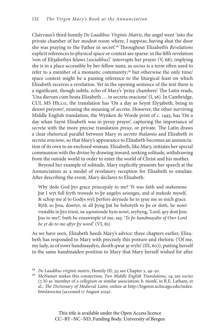Clairvaux's third homily *De Laudibus Virginis Matris*, the angel went 'into the private chamber of her modest room where, I suppose, having shut the door she was praying to the Father in secret'.28 Throughout Elizabeth's *Revelations* explicit references to physical space or context are sparse: in the fifth revelation 'oon of Eliȝabethys felaws (*socialibus*)' interrupts her prayer (V, 68), implying she is in a place accessible by her fellow nuns, as *socius* is a term often used to refer to a member of a monastic community;<sup>29</sup> but otherwise the only time/ space context might be a passing reference to the liturgical feast on which Elizabeth receives a revelation. Yet in the opening sentence of the text there is a significant, though subtle, echo of Mary's 'priuy chambere'. The Latin reads, 'Una dierum cum beata Elizabeth … in secreta oracione' (I, 56). In Cambridge, CUL MS Hh.i.11, the translation has 'On a day as Seynt Elyȝabeth, being in deuwt preyowr', missing the meaning of *secreta*. However, the other surviving Middle English translation, the Wynken de Worde print of *c*. 1493, has 'On a day whan Saynt Elisabeth was in preuy prayer', capturing the importance of *secreta* with the more precise translation *preuy*, or private*.* The Latin draws a clear rhetorical parallel between Mary *in secreto thalamio* and Elizabeth *in secreta oracione*, so that Mary's appearance to Elizabeth becomes an annunciation of its own to an enclosed woman. Elizabeth, like Mary, initiates her special communion with the divine by drawing inward, seeking solitude, withdrawing from the outside world in order to enter the world of Christ and his mother.

Beyond her example of solitude, Mary explicitly presents her speech at the Annunciation as a model of revelatory reception for Elizabeth to emulate. After describing the event, Mary declares to Elizabeth:

Why dede God þys grace princepaly to me? Yt was faith and mekenesse þat I wyt full feyth trowede to þe angelys seinnges, and al mekede myself, & schop me al to Godys wyl; þerfore deynede he to 3yue me so mich grace. Ryth so þou, dowtyr, in all þyng þat he behotyth to þe or doth, be nowt vnstable in þys triest, ne aȝenstonde hym nowt, seyhyng, 'Lord, qey dost þou þus to me?,' buth be ensawmple of me, say, '*To þe handmaydin of Owr Lord be yt do to me aftyr þy word*.' (VI, 82)

As we have seen, Elizabeth heeds Mary's advice: three chapters earlier, Elizabeth has responded to Mary with precisely this posture and rhetoric ('Of me, my lady, as of yowr handmaydyn, dooth qwat ȝe wyln' (III, 60)), putting herself in the same handmaiden position to Mary that Mary herself wished for after

<sup>28</sup> *De Laudibus virginis matris*, Homily III, 33; see Chapter 2, 49–50.

<sup>29</sup> McNamer makes this connection, *Two Middle English Translations*, 14; see *socius* (7, b) as 'member of a *collegium* or similar association; b. monk', in R.E. Latham, et al., *The Dictionary of Medieval Latin*; online at http://logeion.uchicago.edu/index. html#socius (accessed 17 August 2019).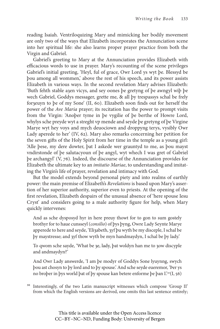reading Isaiah. Ventriloquizing Mary and mimicking her bodily movement are only two of the ways that Elizabeth incorporates the Annunciation scene into her spiritual life: she also learns proper prayer practice from both the Virgin and Gabriel.

Gabriel's greeting to Mary at the Annunciation provides Elizabeth with efficacious words to use in prayer. Mary's recounting of the scene privileges Gabriel's initial greeting, 'Heyl, ful of grace, Owr Lord ys wyt þe. Blessyd be þou among all wommen,' above the rest of his speech, and its power assists Elizabeth in various ways. In the second revelation Mary advises Elizabeth: 'Buth fehth stable aȝen vicys, and sey oones þe gretyng of þe awngyl wiþ þe wech Gabriel, Goddys messager, grette me, & all þy trespassys schal be frely forȝeuyn to þe of my Sone' (II, 60). Elizabeth soon finds out for herself the power of the *Ave Maria* prayer; its recitation has the power to prompt visits from the Virgin: 'Anoþer tyme in þe vygilie of þe berthe of Howre Lord, whylys sche preyde wyt a streght vp mende and seyde þe gretyng of þe Virgine Marye wyt hey voys and mych deuociown and droppyng terys, vysibly Owr Lady aperede to her' (IV, 62). Mary also remarks concerning her petition for the seven gifts of the Holy Spirit from her time in the temple as a young girl: 'Alle þese, my dere dowter, þat I askede wer grauntyd to me, as þou mayst vndirstonde of þe salutacyoun of þe angyl, wyt whech I was gret of Gabriel þe archangyl' (V, 76). Indeed, the discourse of the Annunciation provides for Elizabeth the ultimate key to an *imitatio Mariae*, to understanding and imitating the Virgin's life of prayer, revelation and intimacy with God.

But the model extends beyond personal piety and into realms of earthly power: the main premise of Elizabeth's *Revelations* is based upon Mary's assertion of her superior authority, superior even to priests. At the opening of the first revelation, Elizabeth despairs of the unusual absence of 'here spouse Iesu Cryst' and considers going to a male authority figure for help, when Mary quickly intervenes:

And as sche dysposyd hyr in here preuy thowt for to gon to sum gostely brothyr for to haue cunsseyl (*consilio*) of þys þyng, Owre Lady Seynte Marye apperede to here and seyde, 'Eliȝabeth, ȝyf þu wyth be my disceple, I schal be þy maystresse; and ȝyf thow wyth be myn handmaydyn, I schal be þy lady.'

To qwom sche sayde, 'What be ȝe, lady, þat woldyn han me to ȝow discyple and andmaydyn?'

And Owr Lady answerde, 'I am þe modyr of Goddys Sone lyuynng, swych þou ast chosyn to þy lord and to þy spouse.' And sche seyde eueremor, 'Þer ys no broþer in þys world þat of þy spouse kan betere enforme þe þan I.'30(I, 56)

Interestingly, of the two Latin manuscript witnesses which compose 'Group II' from which the English versions are derived, one omits this last sentence entirely;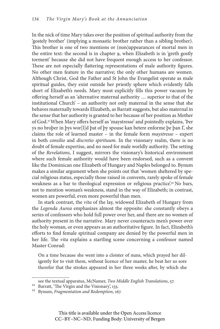In the nick of time Mary takes over the position of spiritual authority from the 'gostely brother' (implying a monastic brother rather than a sibling brother). This brother is one of two mentions or (non)appearances of mortal men in the entire text: the second is in chapter 9, when Elizabeth is in 'greth gostly torment' because she did not have frequent enough access to her confessor. These are not especially flattering representations of male authority figures. No other men feature in the narrative; the only other humans are women. Although Christ, God the Father and St John the Evangelist operate as male spiritual guides, they exist outside her priestly sphere which evidently falls short of Elizabeth's needs. Mary most explicitly fills this power vacuum by offering herself as an 'alternative maternal authority … superior to that of the institutional Church' – an authority not only maternal in the sense that she behaves maternally towards Elizabeth, as Barratt suggests, but also maternal in the sense that her authority is granted to her because of her position as Mother of God.31 When Mary offers herself as 'maystresse' and pointedly explains, 'Þer ys no broþer in þys wor[l]d þat of þy spouse kan betere enforme þe þan I', she claims the role of learned master – in the female form *maystresse* – expert in both *consilio* and *discretio spirituum*. In the visionary realm, there is no doubt of female expertise, and no need for male worldly authority. The setting of the *Revelations*, I suggest, mirrors the visionary's historical environment where such female authority would have been endorsed, such as a convent like the Dominican one Elizabeth of Hungary and Naples belonged to. Bynum makes a similar argument when she points out that 'women sheltered by special religious status, especially those raised in convents, rarely spoke of female weakness as a bar to theological expression or religious practice.<sup>32</sup> No bars, not to mention woman's weakness, stand in the way of Elizabeth; in contrast, women are powerful, even more powerful than men.

In stark contrast, the *vita* of the lay, widowed Elizabeth of Hungary from the *Legenda Aurea* emphasizes almost the opposite: she constantly obeys a series of confessors who hold full power over her, and there are no women of authority present in the narrative. Mary never counteracts men's power over the holy woman, or even appears as an authoritative figure. In fact, Elizabeth's efforts to find female spiritual company are denied by the powerful men in her life. The *vita* explains a startling scene concerning a confessor named Master Conrad:

On a time because she went into a cloister of nuns, which prayed her diligently for to visit them, without licence of her master, he beat her so sore therefor that the strokes appeared in her three weeks after, by which she

see the textual apparatus, McNamer, *Two Middle English Translations*, 57.

<sup>&</sup>lt;sup>31</sup> Barratt, 'The Virgin and the Visionary', 133.

<sup>32</sup> Bynum, *Fragmentation and Redemption*, 167.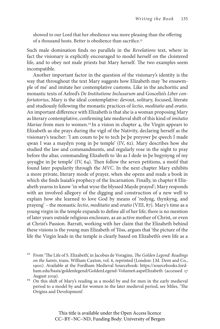showed to our Lord that her obedience was more pleasing than the offering of a thousand hosts. Better is obedience than sacrifice.33

Such male domination finds no parallels in the *Revelations* text, where in fact the visionary is explicitly encouraged to model herself on the cloistered life, and to obey not male priests but Mary herself. The two examples seem incompatible.

Another important factor in the question of the visionary's identity is the way that throughout the text Mary suggests how Elizabeth may 'be ensawmple of me' and imitate her contemplative customs. Like in the anchoritic and monastic texts of Aelred's *De Institutione Inclusarum* and Goscelin's *Liber confortatorius*, Mary is the ideal contemplative: devout, solitary, focused, literate and studiously following the monastic practices of *lectio*, *meditatio* and *oratio*. An important difference with Elizabeth is that she is a woman proposing Mary as literary contemplative, confirming late medieval shift of this kind of *imitatio Mariae* from men to women.<sup>34</sup> In a vision in chapter 4, the Virgin appears to Elizabeth as she prays during the vigil of the Nativity, declaring herself as the visionary's teacher: 'I am coum to þe to tech þe þe preyowr þe qwech I made qwan I was a maydyn yong in þe temple' (IV, 62). Mary describes how she studied the law and commandments, and regularly rose in the night to pray before the altar, commanding Elizabeth to 'do as I dede in þe begynyng of my ȝoyugþe in þe temple' (IV, 64). Then follow the seven petitions, a motif that found later popularity through the *MVC*. In the next chapter Mary exhibits a more private, literary mode of prayer, when she opens and reads a book in which she finds Isaiah's prophecy of the Incarnation. Finally, in chapter 8 Elizabeth yearns to know 'in what wyse the blyssed Mayde prayed'; Mary responds with an involved allegory of the digging and construction of a new well to explain how she learned to love God by means of 'redyng, thynkyng, and prayeng' – the monastic *lectio*, *meditatio* and *oratio* (VIII, 87). Mary's time as a young virgin in the temple expands to define all of her life; there is no mention of later years outside religious enclosure, as an active mother of Christ, or even at Christ's Passion. Barratt, working with her claim that the Elizabeth behind these visions is the young nun Elizabeth of Töss, argues that 'the picture of the life the Virgin leads in the temple is clearly based on Elizabeth's own life as a

<sup>34</sup> On this shift of Mary's reading as a model by and for men in the early medieval period to a model by and for women in the later medieval period, see Miles, 'The Origins and Development'.

<sup>33</sup> From 'The Life of S. Elizabeth', in Jacobus de Voragine, *The Golden Legend: Readings on the Saints*, trans. William Caxton, vol. 6, reprinted (London: J.M. Dent and Co., 1900). Available at the Fordham Medieval Sourcebook: https://sourcebooks.fordham.edu/basis/goldenlegend/GoldenLegend-Volume6.asp#Elizabeth (accessed 17 August 2019).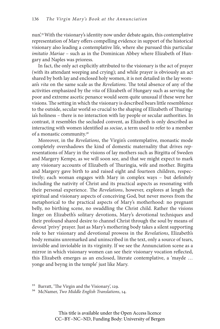nun'.35 With the visionary's identity now under debate again, this contemplative representation of Mary offers compelling evidence in support of the historical visionary also leading a contemplative life, where she pursued this particular *imitatio Mariae* – such as in the Dominican Abbey where Elizabeth of Hungary and Naples was prioress.

In fact, the only act explicitly attributed to the visionary is the act of prayer (with its attendant weeping and crying); and while prayer is obviously an act shared by both lay and enclosed holy women, it is not detailed in the lay woman's *vita* on the same scale as the *Revelations*. The total absence of any of the activities emphasized by the *vita* of Elizabeth of Hungary such as serving the poor and extreme ascetic penance would seem quite unusual if these were her visions. The setting in which the visionary is described bears little resemblence to the outside, secular world so crucial to the shaping of Elizabeth of Thuringia's holiness – there is no interaction with lay people or secular authorities. In contrast, it resembles the secluded convent, as Elizabeth is only described as interacting with women identified as *sociae*, a term used to refer to a member of a monastic community.36

Moreover, in the *Revelations*, the Virgin's contemplative, monastic mode completely overshadows the kind of domestic maternality that drives representations of Mary in the visions of lay mothers such as Birgitta of Sweden and Margery Kempe, as we will soon see, and that we might expect to mark any visionary accounts of Elizabeth of Thuringia, wife and mother. Birgitta and Margery gave birth to and raised eight and fourteen children, respectively; each woman engages with Mary in complex ways – but definitely including the nativity of Christ and its practical aspects as resonating with their personal experience. The *Revelations*, however, explores at length the spiritual and visionary aspects of conceiving God, but never moves from the metaphorical to the practical aspects of Mary's motherhood: no pregnant belly, no birthing scene, no swaddling the Christ child. Rather the visions linger on Elizabeth's solitary devotions, Mary's devotional techniques and their profound shared desire to channel Christ through the soul by means of devout 'privy' prayer. Just as Mary's mothering body takes a silent supporting role to her visionary and devotional prowess in the *Revelations*, Elizabeth's body remains unremarked and uninscribed in the text, only a source of tears, invisible and inviolable in its virginity. If we see the Annunciation scene as a mirror in which visionary women can see their visionary vocation reflected, this Elizabeth emerges as an enclosed, literate contemplative, a 'mayde … yonge and beyng in the temple' just like Mary.

36 McNamer, *Two Middle English Translations*, 14.

<sup>&</sup>lt;sup>35</sup> Barratt, 'The Virgin and the Visionary', 129.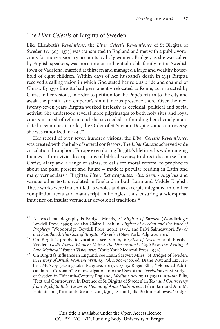#### The *Liber Celestis* of Birgitta of Sweden

Like Elizabeth's *Revelations*, the *Liber Celestis Revelationes* of St Birgitta of Sweden (*c*. 1303–1373) was transmitted to England and met with a public voracious for more visionary accounts by holy women. Bridget, as she was called by English speakers, was born into an influential noble family in the Swedish town of Vadstena, married at thirteen and managed a large and wealthy household of eight children. Within days of her husband's death in 1341 Birgitta received a calling vision in which God stated her role as bride and channel of Christ. By 1350 Birgitta had permanently relocated to Rome, as instructed by Christ in her visions, in order to petition for the Pope's return to the city and await the pontiff and emperor's simultaneous presence there. Over the next twenty-seven years Birgitta worked tirelessly as ecclesial, political and social activist. She undertook several more pilgrimages to both holy sites and royal courts in need of reform, and she succeeded in founding her divinely mandated new monastic order, the Order of St Saviour. Despite some controversy, she was canonized in 1391.37

Her record of over seven hundred visions, the *Liber Celestis Revelationes*, was created with the help of several confessors. The *Liber Celestis* achieved wide circulation throughout Europe even during Birgitta's lifetime. Its wide-ranging themes – from vivid descriptions of biblical scenes; to direct discourse from Christ, Mary and a range of saints; to calls for moral reform; to prophecies about the past, present and future – made it popular reading in Latin and many vernaculars.38 Birgitta's *Liber*, *Extravagantes, vita*, *Sermo Anglicus* and various other texts circulated in England in both Latin and Middle English. These works were transmitted as wholes and as excerpts integrated into other compilation texts and manuscript anthologies, thus ensuring a widespread influence on insular vernacular devotional traditions.<sup>39</sup>

- 37 An excellent biography is Bridget Morris, *St Birgitta of Sweden* (Woodbridge: Boydell Press, 1999); see also Claire L. Sahlin, *Birgitta of Sweden and the Voice of Prophecy* (Woodbridge: Boydell Press, 2001), 13-33, and Païvi Salmesvuori, *Power and Sainthood: The Case of Birgitta of Sweden* (New York: Palgrave, 2014).
- 38 On Birgitta's prophetic vocation, see Sahlin, *Birgitta of Sweden,* and Rosalyn Voaden, *God's Words, Women's Voices: The Discernment of Spirits in the Writing of Late-Medieval Women Visionaries* (York: York Medieval Press, 1999).
- <sup>39</sup> On Birgitta's influence in England, see Laura Saetveit Miles, 'St Bridget of Sweden', in *History of British Women's Writing, Vol. 1: 700–1500*, ed. Diane Watt and Liz Herbert McAvoy (Basingstoke: Palgrave, 2011), 207–15; Roger Ellis, '"Flores ad Fabricandam ... Coronam": An Investigation into the Uses of the *Revelations* of St Bridget of Sweden in Fifteenth-Century England', *Medium Aevum* 51 (1982), 163–86; Ellis, 'Text and Controversy: In Defence of St. Birgitta of Sweden', in *Text and Controversy from Wyclif to Bale: Essays in Honour of Anne Hudson*, ed. Helen Barr and Ann M. Hutchinson (Turnhout: Brepols, 2005), 303–21; and Julia Bolton Holloway, 'Bridget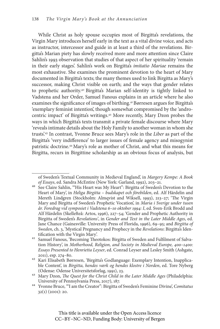While Christ as holy spouse occupies most of Birgitta's revelations, the Virgin Mary introduces herself early in the text as a vital divine voice, and acts as instructor, intercessor and guide in at least a third of the revelations. Birgitta's Marian piety has slowly received more and more attention since Claire Sahlin's 1993 observation that studies of that aspect of her spirituality 'remain in their early stages'. Sahlin's work on Birgitta's *imitatio Mariae* remains the most exhaustive. She examines the prominent devotion to the heart of Mary documented in Birgitta's texts; the many themes used to link Birgitta as Mary's successor, making Christ visible on earth; and the ways that gender relates to prophetic authority.40 Birgitta's Marian self-identity is tightly linked to Vadstena and her Order, Samuel Fanous explains in an article where he also examines the significance of images of birthing.<sup>41</sup> Børresen argues for Birgitta's 'exemplary feminist intention', though somewhat compromised by the 'androcentric impact' of Birgitta's writings.42 More recently, Mary Dzon probes the ways in which Birgitta's texts transmit a private female discourse where Mary 'reveals intimate details about the Holy Family to another woman in whom she trusts'.43 In contrast, Yvonne Bruce sees Mary's role in the *Liber* as part of the Birgitta's 'very indifference' to larger issues of female agency and misogynist patristic doctrine.44 Mary's role as mother of Christ, and what this means for Birgitta, recurs in Birgittine scholarship as an obvious focus of analysis, but

of Sweden's Textual Community in Medieval England', in *Margery Kempe: A Book of Essays*, ed. Sandra McEntire (New York: Garland, 1992), 203–21.

<sup>40</sup> See Claire Sahlin, '"His Heart was My Heart": Birgitta of Sweden's Devotion to the Heart of Mary', in *Heliga Birgitta – budskapet och förebilden*, ed. Alf Härdelin and Mereth Lindgren (Stockholm: Almqvist and Wiksell, 1993), 213–27; 'The Virgin Mary and Birgitta of Sweden's Prophetic Vocation', in *Maria i Sverige under tusen år. Foredrag vid symposiet i Vadstena 6–10 oktober 1994: I*, ed. Sven-Erik Brodd and Alf Härdelin (Skellefteå: Artos, 1996), 227–54; 'Gender and Prophetic Authority in Birgitta of Sweden's *Revelations'*, in *Gender and Text in the Later Middle Ages*, ed. Jane Chance (Gainesville: University Press of Florida, 1996), 69–95; and *Birgitta of Sweden*, ch. 3, 'Mystical Pregnancy and Prophecy in the *Revelations*: Birgitta's Identification with the Virgin Mary'.

<sup>41</sup> Samuel Fanous, 'Becoming Theotokos: Birgitta of Sweden and Fulfilment of Salvation History', in *Motherhood, Religion, and Society in Medieval Europe, 400–1400: Essays Presented to Henrietta Leyser*, ed. Conrad Leyser and Lesley Smith (Ashgate, 2011), esp. 274–80.

<sup>42</sup> Kari Elisabeth Børresen, 'Birgitta's Godlanguage: Exemplary Intention, Inapplicable Content', in *Birgitta, hendes værk og hendes klostre i Norden*, ed. Tore Nyberg (Odense: Odense Universitetsforlag, 1991), 23.

<sup>43</sup> Mary Dzon, *The Quest for the Christ Child in the Later Middle Ages* (Philadelphia: University of Pennsylvania Press, 2017), 187.

<sup>44</sup> Yvonne Bruce, '"I am the Creator": Birgitta of Sweden's Feminine Divine', *Comitatus* 32(1) (2001): 20.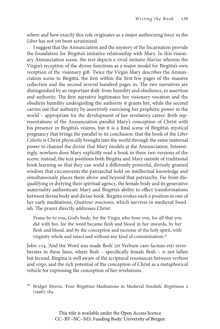where and how exactly this role originates as a major authorizing force in the *Liber* has not yet been scrutinized.

I suggest that the Annunciation and the mystery of the Incarnation provide the foundation for Birgitta's imitative relationship with Mary. In this visionary Annunciation scene, the text depicts a vivid *imitatio Mariae* wherein the Virgin's reception of the divine functions as a major model for Birgitta's own reception of the visionary gift. Twice the Virgin Mary describes the Annunciation scene to Birgitta, the first within the first few pages of the massive collection and the second several hundred pages in. The two narratives are distinguished by an important shift: from humility and obedience, to assertion and authority. The first narrative legitimates her visionary vocation and the obedient humility undergirding the authority it grants her, while the second carries out that authority by assertively exercising her prophetic power in the world – appropriate for the development of her revelatory career. Both representations of the Annunciation parallel Mary's conception of Christ with his presence in Birgitta's visions, but it is a final scene of Birgitta's mystical pregnancy that brings the parallel to its conclusion: that the book of the *Liber Celestis* is Christ physically brought into the world through the same maternal power to channel the divine that Mary models at the Annunciation. Interestingly, nowhere does Mary explicitly read a book in these two versions of the scene; instead, the text positions both Birgitta and Mary outside of traditional book learning so that they can wield a differently powerful, divinely granted wisdom that circumvents the patriarchal hold on intellectual knowledge and simultaneously places them above and beyond that patriarchy. Far from disqualifying or dirtying their spiritual agency, the female body and its generative maternality authenticate Mary and Birgitta's ability to effect transformations between divine body and divine book. Birgitta evokes such a position in one of her early meditations, *Quattour oraciones*, which survives in medieval Swedish. The prayer directly addresses Christ:

Praise be to you, God's body, for the Virgin who bore you, for all that you did with her, for the word became flesh and blood in her inwards, by her flesh and blood, and by the conception and increase of the holy spirit, with virginity whole and intact and without any kind of contamination.45

John 1:14, 'And the Word was made flesh' (et Verbum caro factum est) reverberates in these lines, where flesh – specifically female flesh – is not fallen but fecund. Birgitta is well aware of the scriptural resonances between *verbum* and *virgo*, and the rich potential of the conception of Christ as a metaphorical vehicle for expressing the conception of her revelations.

<sup>45</sup> Bridget Morris, 'Four Birgittine Meditations in Medieval Swedish', *Birgittiana* 2 (1996): 184.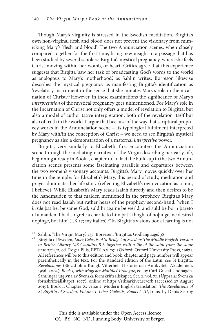Though Mary's virginity is stressed in the Swedish meditation, Birgitta's own non-virginal flesh and blood does not prevent the visionary from mimicking Mary's 'flesh and blood'. The two Annunciation scenes, when closely compared together for the first time, bring new insight to a passage that has been studied by several scholars: Birgitta's mystical pregnancy, where she feels Christ moving within her womb, or heart. Critics agree that this experience suggests that Birgitta 'saw her task of broadcasting God's words to the world as analogous to Mary's motherhood', as Sahlin writes; Børreson likewise describes the mystical pregnancy as manifesting Birgitta's identification as 'revelatory instrument in the sense that she imitates Mary's role in the incarnation of Christ'.46 However, in these examinations the significance of Mary's *interpretation* of the mystical pregnancy goes unmentioned. For Mary's role in the Incarnation of Christ not only offers a model of revelation to Birgitta, but also a model of authoritative interpretation, both of the revelation itself but also of truth in the world. I argue that because of the way that scriptural prophecy works in the Annunciation scene – its typological fulfilment interpreted by Mary with/in the conception of Christ – we need to see Birgitta's mystical pregnancy as also a demonstration of a maternal *interpretive* power.

Birgitta, very similarly to Elizabeth, first encounters the Annunciation scene through the mediating narrative of the Virgin describing her early life, beginning already in Book 1, chapter 10. In fact the build-up to the two Annunciation scenes presents some fascinating parallels and departures between the two women's visionary accounts. Birgitta's Mary moves quickly over her time in the temple; for Elizabeth's Mary, this period of study, meditation and prayer dominates her life story (reflecting Elizabeth's own vocation as a nun, I believe). While Elizabeth's Mary reads Isaiah directly and then desires to be the handmaiden to that maiden mentioned in the prophecy, Birgitta's Mary does not read Isaiah but rather hears of the prophecy second-hand: 'when I *herde* þat he, þe same God, suld bi againe þe werld, and suld be born þareto of a maiden, I had so grete a charite to him þat I thoght of noþinge, ne desired noþinge, bot him' (I.X.17; my italics).47 In Birgitta's visions book learning is not

46 Sahlin, 'The Virgin Mary', 237; Børresen, 'Birgitta's Godlanguage', 38.

47 Birgitta of Sweden, *Liber Celestis of St Bridget of Sweden: The Middle English Version in British Library MS Claudius B i, together with a life of the saint from the same manuscript*, ed. Roger Ellis, EETS o.s. 291 (Oxford: Oxford University Press, 1987). All references will be to this edition and book, chapter and page number will appear parenthetically in the text. For the standard edition of the Latin, see St Birgitta, *Revelaciones* (Stockholm: Kungl. Vitterhets Historie och Antikvitets Akademien, 1956–2002); *Book I, with Magister Mathias' Prologue*, ed. by Carl-Gustaf Undhagen. Samlingar utgivna av Svenska fornskriftsällskapet, Ser. 2, vol. 7:1 (Uppsala: Svenska fornskriftsällskapet, 1977), online at <https://riksarkivet.se/crb>(accessed 27 August 2019), Book I, Chapter X, verse 2. Modern English translation: *The Revelations of St Birgitta of Sweden, Volume 1: Liber Cælestis, Books I–III*, trans. by Denis Searby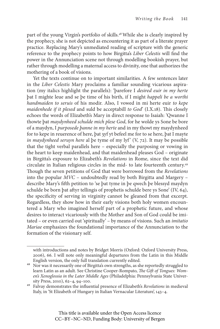part of the young Virgin's portfolio of skills.48 While she is clearly inspired by the prophecy, she is not depicted as encountering it as part of a literate prayer practice. Replacing Mary's unmediated reading of scripture with the generic reference to the prophecy points to how Birgitta's *Liber Celestis* will find the power in the Annunciation scene not through modelling bookish prayer, but rather through modelling a maternal access to divinity, one that authorizes the mothering of a book of visions.

Yet the texts continue on to important similarities. A few sentences later in the *Liber Celestis* Mary proclaims a familiar sounding vicarious aspiration (my italics highlight the parallels): 'þarefore I *desired euir in my herte* þat I mighte leue and se þe time of his birth, if I might *happeli be a worthi handmaiden to seruis* of his modir. Also, I vowed in mi herte euir *to kepe maidenhede if it plesed* and suld be acceptabill *to God*' (I.X.18). This closely echoes the words of Elizabeth's Mary in direct response to Isaiah: 'Qwanne I thowte þat *maydynheed schulde mich plese God*, for he wolde ys Sone be bore of a maydyn, I *purposede þanne in my herte* and in my thowt my maydynheed for to kepe in reuerence of here, þat ȝyf yt befeel me for to se here, þat I mayte *in maydynheed seruyn here* al be tyme of my lyf' (V, 72). It may be possible that the tight verbal parallels here – especially the purposing or vowing in the heart to keep maidenhead, and that maidenhead pleases God – originate in Birgitta's exposure to Elizabeth's *Revelations* in Rome, since the text did circulate in Italian religious circles in the mid- to late fourteenth century.49 Though the seven petitions of God that were borrowed from the *Revelations* into the popular *MVC* – undoubtedly read by both Birgitta and Margery – describe Mary's fifth petition to 'se þat tyme in þe qwech þe blessyd maydyn schulde be born þat aftyr tellingis of prophetis schulde bere ys Sone' (IV, 64), the specificity of serving in virginity cannot be gleaned from that excerpt. Regardless, they show how in their early visions both holy women encountered a Mary who imagined herself part of a prophetic future, and whose desires to interact vicariously with the Mother and Son of God could be imitated – or even carried out 'spiritually' – by means of visions. Such an *imitatio Mariae* emphasizes the foundational importance of the Annunciation to the formation of the visionary self.

with introductions and notes by Bridget Morris (Oxford: Oxford University Press, 2006), 66. I will note only meaningful departures from the Latin in this Middle English version, the only full translation currently edited.

<sup>&</sup>lt;sup>48</sup> Nor was it necessarily one of Birgitta's own strengths, as she reportedly struggled to learn Latin as an adult. See Christine Cooper-Rompato, *The Gift of Tongues: Women's Xenoglossia in the Later Middle Ages* (Philadelphia: Pennsylvania State University Press, 2010), 62–4, 94–100.

<sup>49</sup> Falvay demonstrates the influential presence of Elizabeth's *Revelations* in medieval Italy, in 'St Elizabeth of Hungary in Italian Vernacular Literature', 143–4.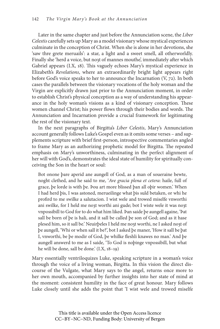Later in the same chapter and just before the Annunciation scene, the *Liber Celestis* carefully sets up Mary as a model visionary whose mystical experiences culminate in the conception of Christ. When she is alone in her devotions, she 'saw thre grete meruails': a star, a light and a sweet smell, all otherworldly. Finally she 'herd a voice, but noạt of mannes mouthe', immediately after which Gabriel appears (I.X, 18). This vaguely echoes Mary's mystical experience in Elizabeth's *Revelations*, where an extraordinarily bright light appears right before God's voice speaks to her to announce the Incarnation (V, 72). In both cases the parallels between the visionary vocations of the holy woman and the Virgin are explicitly drawn just prior to the Annunciation moment, in order to establish Christ's physical conception as a way of understanding his appearance in the holy woman's visions as a kind of visionary conception. These women channel Christ; his power flows through their bodies and words. The Annunciation and Incarnation provide a crucial framework for legitimating the rest of the visionary text.

In the next paragraphs of Birgitta's *Liber Celestis*, Mary's Annunciation account generally follows Luke's Gospel even as it omits some verses – and supplements scripture with brief first-person, introspective commentaries angled to frame Mary as an authorizing prophetic model for Birgitta. The repeated emphasis on Mary's unworthiness, culminating in the perfect alignment of her will with God's, demonstrates the ideal state of humility for spiritually conceiving the Son in the heart or soul:

Bot onone þare aperid ane aungell of God, as a man of soueraine bewte, noght clethed, and he said to me, '*Ave gracia plena et cetera*: haile, full of grace, þe lorde is with þe. Þou art more blissed þan all oþir women.' When I had herd þis, I was astoned, merueilinge what þis suld betaken, or whi he profird to me swilke a salutacion. I wist wele and trowed miselfe vnworthi ani swilke, for I held me noạt worthi ani gude; bot I wiste wele it was noạt vnpossibill to God for to do what him liked. Þan saide þe aungell againe, 'Þat sall be born of þe is hali, and it sall be called þe son of God; and as it hase plesed him, so it sall be.' Neuirþeles I held me noȝt worthi, ne I asked noȝt of þe aungell, 'Whi or when sall it be?', bot I asked þe maner, 'How it sall be þat I, vnworthi, be þe modir of God, þe whilke fleshli knawes no man.' And þe aungell answerd to me as I saide, 'To God is noþinge vnpossibill, but what he will be done, sall be done.' (I.X, 18-19)

Mary essentially ventriloquizes Luke, speaking scripture in a woman's voice through the voice of a living woman, Birgitta. In this vision the direct discourse of the Vulgate, what Mary says to the angel, returns once more to her own mouth, accompanied by further insights into her state of mind at the moment: consistent humility in the face of great honour. Mary follows Luke closely until she adds the point that 'I wist wele and trowed miselfe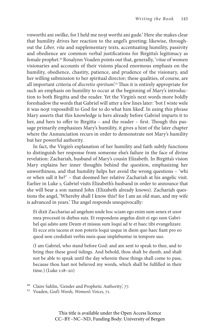vnworthi ani swilke, for I held me noȝt worthi ani gude.' Here she makes clear that humility drives her reaction to the angel's greeting; likewise, throughout the *Liber, vita* and supplementary texts, accentuating humility, passivity and obedience are common verbal justifications for Birgitta's legitimacy as female prophet.50 Rosalynn Voaden points out that, generally, '*vitae* of women visionaries and accounts of their visions placed enormous emphasis on the humility, obedience, chastity, patience, and prudence of the visionary, and her willing submission to her spiritual director; these qualities, of course, are all important criteria of *discretio spiritum*'.51 Thus it is entirely appropriate for such an emphasis on humility to occur at the beginning of Mary's introduction to both Birgitta and the reader. Yet the Virgin's next words more boldly foreshadow the words that Gabriel will utter a few lines later: 'bot I wiste wele it was noȝt vnpossibill to God for to do what him liked'. In using this phrase Mary asserts that this knowledge is hers already before Gabriel imparts it to her, and hers to offer to Birgitta – and the reader – first. Though this passage primarily emphasizes Mary's humility, it gives a hint of the later chapter where the Annunciation recurs in order to demonstrate not Mary's humility but her powerful authority.

In fact, the Virgin's explanation of her humility and faith subtly functions to distinguish her response from someone else's failure in the face of divine revelation: Zachariah, husband of Mary's cousin Elizabeth. In Birgitta's vision Mary explains her inner thoughts behind the question, emphasizing her unworthiness, and that humility helps her avoid the wrong questions – 'whi or when sall it be?' – that doomed her relative Zachariah at his angelic visit. Earlier in Luke 1, Gabriel visits Elizabeth's husband in order to announce that she will bear a son named John (Elizabeth already knows). Zachariah questions the angel, 'Whereby shall I know this? for I am an old man, and my wife is advanced in years.' The angel responds unequivocally:

Et dixit Zaccharias ad angelum unde hoc sciam ego enim sum senex et uxor mea processit in diebus suis. Et respondens angelus dixit ei ego sum Gabrihel qui adsto ante Deum et missus sum loqui ad te et haec tibi evangelizare. Et ecce eris tacens et non poteris loqui usque in diem quo haec fiant pro eo quod non credidisti verbis meis quae implebuntur in tempore suo.

(I am Gabriel, who stand before God: and am sent to speak to thee, and to bring thee these good tidings. And behold, thou shalt be dumb, and shalt not be able to speak until the day wherein these things shall come to pass, because thou hast not believed my words, which shall be fulfilled in their time.) (Luke 1:18–20)

<sup>50</sup> Claire Sahlin, 'Gender and Prophetic Authority', 77.

<sup>51</sup> Voaden, *God's Words, Women's Voices*, 71.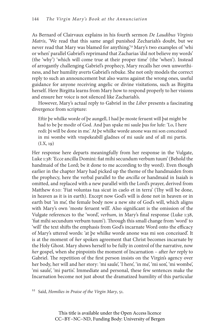As Bernard of Clairvaux explains in his fourth sermon *De Laudibus Virginis Matris*, 'We read that this same angel punished Zechariah's doubt, but we never read that Mary was blamed for anything.'52 Mary's two examples of 'whi or when' parallel Gabriel's reprimand that Zacharias 'did not believe my words' (the 'why') 'which will come true at their proper time' (the 'when'). Instead of arrogantly challenging Gabriel's prophecy, Mary recalls her own unworthiness, and her humility averts Gabriel's rebuke. She not only models the correct reply to such an announcement but also warns against the wrong ones, useful guidance for anyone receiving angelic or divine visitations, such as Birgitta herself. Here Birgitta learns from Mary how to respond properly to her visions and ensure her voice is not silenced like Zachariah's.

However, Mary's actual reply to Gabriel in the *Liber* presents a fascinating divergence from scripture:

Eftir þe whilke worde of þe aungell, I had þe moste feruent will þat might be had to be þe modir of God. And þan spake mi saule þus for lufe: 'Lo, I here redi: þi will be done in me.' At þe whilke worde anone was mi son conceiued in mi wombe with vnspekeabill gladnes of mi saule and of all mi partis.  $(I.X, 19)$ 

Her response here departs meaningfully from her response in the Vulgate, Luke 1:38: 'Ecce ancilla Domini: fiat mihi secundum verbum tuum' (Behold the handmaid of the Lord; be it done to me according to thy word). Even though earlier in the chapter Mary had picked up the theme of the handmaiden from the prophecy, here the verbal parallel to the *ancilla* or handmaid in Isaiah is omitted, and replaced with a new parallel with the Lord's prayer, derived from Matthew 6:10: 'Fiat voluntas tua sicut in caelo et in terra' (Thy will be done, in heaven as it is in earth). Except now God's will is done not in heaven or in earth but 'in me', the female body now a new site of God's will, which aligns with Mary's own 'moste feruent will'. Also significant is the omission of the Vulgate references to the 'word', *verbum*, in Mary's final response (Luke 1:38, 'fiat mihi secundum verbum tuum'). Through this small change from 'word' to 'will' the text shifts the emphasis from God's incarnate Word onto the efficacy of Mary's uttered words: 'at þe whilke worde anone was mi son conceiued'. It is at the moment of *her* spoken agreement that Christ becomes incarnate by the Holy Ghost. Mary shows herself to be fully in control of the narrative, now *her* gospel, when she pinpoints the moment of Incarnation – after *her* reply to Gabriel. The repetition of the first person insists on the Virgin's agency over her body, her will and her story: 'mi saule', 'I here', 'in me', 'mi son', 'mi wombe', 'mi saule', 'mi partis'. Immediate and personal, these few sentences make the Incarnation become not just about the dramatized humility of this particular

52 Saïd, *Homilies in Praise of the Virgin Mary*, 51.

This title is available under the Open Access licence CC−BY−NC−ND, Funding Body: University of Bergen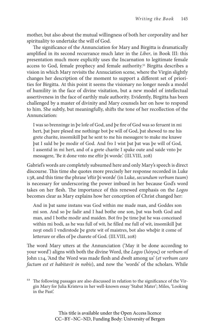mother, but also about the mutual willingness of both her corporality and her spirituality to undertake the will of God.

The significance of the Annunciation for Mary and Birgitta is dramatically amplified in its second recurrance much later in the *Liber*, in Book III: this presentation much more explicitly uses the Incarnation to legitimate female access to God, female prophecy and female authority.<sup>53</sup> Birgitta describes a vision in which Mary revisits the Annuciation scene, where the Virgin slightly changes her description of the moment to support a different set of priorities for Birgitta. At this point it seems the visionary no longer needs a model of humility in the face of divine visitation, but a new model of intellectual assertiveness in the face of earthly male authority. Evidently, Birgitta has been challenged by a master of divinity and Mary counsels her on how to respond to him. She subtly, but meaningfully, shifts the tone of her recollection of the Annunciation:

I was so brenninge in þe lofe of God, and þe fire of God was so feruent in mi hert, þat þare plesed me nothinge bot þe will of God, þat shewed to me his grete charite, insomikill þat he sent to me his messagere to make me knawe þat I suld be þe modir of God. And fro I wist þat þat was þe will of God, I assentid in mi hert, and of a grete charite I spake oute and saide vnto þe messagere, 'Be it done vnto me eftir þi worde.' (III.VIII, 208)

Gabriel's words are completely subsumed here and only Mary's speech is direct discourse. This time she quotes more precisely her response recorded in Luke 1:38, and this time the phrase 'eftir þi worde' (in Luke, *secundum verbum tuum*) is necessary for underscoring the power imbued in her because God's word takes on her flesh. The importance of this renewed emphasis on the *Logos*  becomes clear as Mary explains how her conception of Christ changed her:

And in þat same instans was God within me made man, and Goddes son mi son. And so þe fadir and I had bothe one son, þat was both God and man, and I bothe modir and maiden. Bot fro þe time þat he was conceiued within mi bodi, as he was full of wit, he filled me full of wit, insomikill þat noȝt oneli I vndirstode þe grete wit of maistres, bot also wheþir it come of letterure or elles of þe charete of God. (III.VIII, 208)

The word Mary utters at the Annunciation ('May it be done according to your word') aligns with both the divine Word, the *Logos* (λόγος) or *verbum* of John 1:14, 'And the Word was made flesh and dwelt among us' (*et verbum caro factum est et habitavit in nobis*), and now the 'words' of the scholars. While

<sup>&</sup>lt;sup>53</sup> The following passages are also discussed in relation to the significance of the Virgin Mary for Julia Kristeva in her well-known essay 'Stabat Mater'; Miles, 'Looking in the Past'.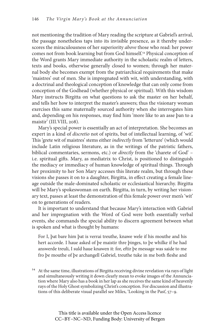not mentioning the tradition of Mary reading the scripture at Gabriel's arrival, the passage nonetheless taps into its invisible presence, as it thereby underscores the miraculousness of her superiority *above* those who read: her power comes not from book learning but from God himself.54 Physical conception of the Word grants Mary immediate authority in the scholastic realm of letters, texts and books, otherwise generally closed to women; through her maternal body she becomes exempt from the patriarchical requirements that make 'maistres' out of men. She is impregnated with wit, with understanding, with a doctrinal and theological conception of knowledge that can only come from conception of the Godhead (whether physical or spiritual). With this wisdom Mary instructs Birgitta on what questions to ask the master on her behalf, and tells her how to interpret the master's answers; thus the visionary woman exercises this same maternally sourced authority when she interrogates him and, depending on his responses, may find him 'more like to an asse þan to a maistir' (III.VIII, 208).

Mary's special power is essentially an act of interpretation. She becomes an expert in a kind of *discretio* not of spirits, but of intellectual learning, of 'wit'. This 'grete wit of maistres' stems either *indirectly* from 'letterure' (which would include Latin religious literature, as in the writings of the patristic fathers, biblical commentaries, sermons, etc.) or *directly* from the 'charete of God' – i.e. spiritual gifts. Mary, as mediatrix to Christ, is positioned to distinguish the mediacy or immediacy of human knowledge of spiritual things. Through her proximity to her Son Mary accesses this literate realm, but through these visions she passes it on to a daughter, Birgitta, in effect creating a female lineage outside the male-dominated scholastic or ecclesiastical hierarchy. Birgitta will be Mary's spokeswoman on earth. Birgitta, in turn, by writing her visionary text, passes at least the demonstration of this female power over men's 'wit' on to generations of readers.

It is important to understand that because Mary's interaction with Gabriel and her impregnation with the Word of God were both essentially verbal events, she commands the special ability to discern agreement between what is spoken and what is thought by humans:

For I, þat bare him þat is verrai treuthe, knawe wele if his mouthe and his hert accorde. I haue asked of þe maistir thre þinges, to þe whilke if he had answerde treuli, I suld haue knawen it: for, eftir þe message was saide to me fro þe mouthe of þe archangell Gabriel, treuthe tuke in me both fleshe and

<sup>&</sup>lt;sup>54</sup> At the same time, illustrations of Birgitta receiving divine revelation via rays of light and simultaneously writing it down clearly mean to evoke images of the Annunciation where Mary also has a book in her lap as she receives the same kind of heavenly rays of the Holy Ghost symbolizing Christ's conception. For discussion and illustrations of this deliberate visual parallel see Miles, 'Looking in the Past', 57–9.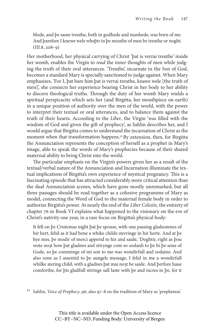blode, and þe same treuthe, both in godhede and manhede, was born of me. And þarefore I knewe wele wheþir in þe mouthe of men be treuthe or noght.  $(III.8, 208-9)$ 

Her motherhood, her physical carrying of Christ 'þat is verrai treuthe' inside her womb, enables the Virgin to *read* the inner thoughts of men while judging the truth of their oral utterances. 'Treuthe', incarnate in the Son of God, becomes a standard Mary is specially sanctioned to judge against. When Mary emphasizes, 'For I, þat bare him þat is verrai treuthe, knawe wele [the truth of men]', she connects her experience bearing Christ in her body to her ability to discern theological truths. Through the duty of her womb Mary wields a spiritual perspicacity which sets her (and Birgitta, her mouthpiece on earth) in a unique position of authority over the men of the world, with the power to interpret their textual or oral utterances, and to balance them against the truth of their hearts. According to the *Liber*, the Virgin 'was filled with the wisdom of God and given the gift of prophecy', as Sahlin describes her, and I would argue that Birgitta comes to understand the incarnation of Christ as the moment when that transformation happens.<sup>55</sup> By extension, then, for Birgitta the Annunciation represents the conception of herself as a prophet in Mary's image, able to speak the words of Mary's prophecies because of their shared maternal ability to bring Christ into the world.

The particular emphasis on the Virgin's powers given her as a result of the textual/verbal nature of the Annunciation and Incarnation illuminate the textual implications of Birgitta's own experience of mystical pregnancy. This is a fascinating episode that has attracted considerably more critical attention than the dual Annunciation scenes, which have gone mostly unremarked, but all three passages should be read together as a cohesive programme of Mary as model, connecting the Word of God to the maternal female body in order to authorize Birgitta's power. At nearly the end of the *Liber Celestis*, the entirety of chapter 76 in Book VI explains what happened to the visionary on the eve of Christ's nativity one year, in a rare focus on Birgitta's physical body:

It fell on þe Cristemas night þat þe spouse, with one passing gladsomnes of hir hert, felid as it had bene a whike childe sterringe in hir herte. And at þe hye mes, þe modir of merci apperid to hir and saide, 'Doghtir, right as þou wote noȝt how þat gladnes and stirynge com so sodanli to þe bi þe sone of Gode, so þe comminge of mi son to me was wondirfull and sodaine. And also sone as I assentid to þe aungels message, I felid in me a wondirfull whilke stering child, with a gladnes þat mai no3t be saide. And þerfore haue comforthe, for þis gladfull stiringe sall laste with þe and incres in þe, for it

<sup>55</sup> Sahlin, *Voice of Prophecy*, 96; also 97–8 on the tradition of Mary as 'prophetess'.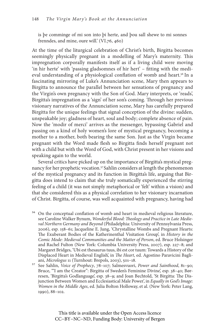is þe comminge of mi son into þi herte, and þou sall shewe to mi sonnes frenndes, and mine, oure will.' (VI.76, 460)

At the time of the liturgical celebration of Christ's birth, Birgitta becomes seemingly physically pregnant in a modelling of Mary's maternity. This impregnation corporally manifests itself as if a living child were moving 'in hir herte' with 'passing gladsomnes of hir hert' – fitting with the medieval understanding of a physiological conflation of womb and heart.<sup>56</sup> In a fascinating mirroring of Luke's Annunciation scene, Mary then appears to Birgitta to announce the parallel between her sensations of pregnancy and the Virgin's own pregnancy with the Son of God. Mary interprets, or 'reads', Birgitta's impregnation as a 'sign' of her son's coming. Through her previous visionary narratives of the Annunciation scene, Mary has carefully prepared Birgitta for the unique feelings that signal conception of the divine: sudden, unspeakable joy; gladness of heart, soul and body; complete absence of pain. Now the 'modir of merci' arrives as the messenger, bypassing Gabriel and passing on a kind of holy women's lore of mystical pregnancy, becoming a mother to a mother, both bearing the same Son. Just as the Virgin became pregnant with the Word made flesh so Birgitta finds herself pregnant not with a child but with the Word of God, with Christ present in her visions and speaking again to the world.

Several critics have picked up on the importance of Birgitta's mystical pregnancy for her prophetic vocation.<sup>57</sup> Sahlin considers at length the phenomenon of the mystical pregnancy and its function in Birgitta's life, arguing that Birgitta does intend to claim that she truly somatically experienced the stirring feeling of a child (it was not simply metaphorical or 'felt' within a vision) and that she considered this as a physical correlation to her visionary incarnation of Christ. Birgitta, of course, was well acquainted with pregnancy, having had

56 On the conceptual conflation of womb and heart in medieval religious literature, see Caroline Walker Bynum, *Wonderful Blood: Theology and Practice in Late Medieval Northern Germany and Beyond* (Philadelphia: University of Pennsylvania Press, 2006), esp. 158–61; Jacqueline E. Jung, 'Chrystalline Wombs and Pregnant Hearts: The Exuberant Bodies of the Katherinenthal Visitation Group', in *History in the Comic Mode: Medieval Communities and the Matter of Person*, ed. Bruce Holsinger and Rachel Fulton (New York: Columbia University Press, 2007), esp. 227–8; and Margaret Bridges, 'Ubi est thesaurus tuus, ibi est cor tuum: Towards a History of the Displaced Heart in Medieval English', in *The Heart*, ed. Agostino Paravicini Bagliani, *Micrologus* 11 (Turnhout: Brepols, 2003), 501–18.

57 See Sahlin, *Voice of Prophecy*, 78–107; Salmesvuori, *Power and Sainthood*, 81–90; Bruce, '"I am the Creator": Birgitta of Sweden's Feminine Divine', esp. 38–40; Børresen, 'Birgitta's Godlanguage', esp. 38–9; and Joan Bechtold, 'St Birgitta: The Disjunction Between Women and Ecclesiastical Male Power', in *Equally in God's Image: Women in the Middle Ages*, ed. Julia Bolton Holloway, et al. (New York: Peter Lang, 1990), 88–102.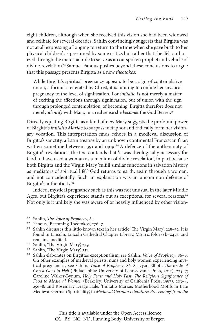eight children, although when she received this vision she had been widowed and celibate for several decades. Sahlin convincingly suggests that Birgitta was not at all expressing a 'longing to return to the time when she gave birth to her physical children' as presumed by some critics but rather that she 'felt authorized through the maternal role to serve as an outspoken prophet and vehicle of divine revelation<sup>',58</sup> Samuel Fanous pushes beyond these conclusions to argue that this passage presents Birgitta as a new *theotokos*:

While Birgitta's spiritual pregnancy appears to be a sign of contemplative union, a formula reiterated by Christ, it is limiting to confine her mystical pregnancy to the level of signification. For *imitatio* is not merely a matter of exciting the affections through signification, but of union with the sign through prolonged contemplation, of becoming. Birgitta therefore does not merely *identify* with Mary, in a real sense she *becomes* the God Bearer.<sup>59</sup>

Directly equating Birgitta as a kind of new Mary suggests the profound power of Birgitta's *imitatio Mariae* to surpass metaphor and radically form her visionary vocation. This interpretation finds echoes in a medieval discussion of Birgitta's sanctity, a Latin treatise by an unknown continental Franciscan friar, written sometime between 1391 and 1409.<sup>60</sup> A defence of the authenticity of Birgitta's revelations, the text contends that 'it was theologically necessary for God to have used a woman as a medium of divine revelation', in part because both Birgitta and the Virgin Mary 'fulfill similar functions in salvation history as mediators of spiritual life'.<sup>61</sup> God returns to earth, again through a woman, and not coincidentally. Such an explanation was an uncommon defence of Birgitta's authenticity.<sup>62</sup>

Indeed, mystical pregnancy such as this was not unusual in the later Middle Ages, but Birgitta's experience stands out as exceptional for several reasons.<sup>63</sup> Not only is it unlikely she was aware of or heavily influenced by other vision-

- 59 Fanous, 'Becoming Theotokos', 276–7.
- 60 Sahlin discusses this little-known text in her article 'The Virgin Mary', 228–32. It is found in Lincoln, Lincoln Cathedral Chapter Library, MS 114, fols 18vb–24va, and remains unedited.
- 61 Sahlin, 'The Virgin Mary', 229.
- 62 Sahlin, 'The Virgin Mary', 231.
- 63 Sahlin elaborates on Birgitta's exceptionalism; see Sahlin, *Voice of Prophecy*, 86–8. On other examples of medieval priests, nuns and holy women experiencing mystical pregnancies, see Sahlin, *Voice of Prophecy*, 86–8; Dyan Elliott, *The Bride of Christ Goes to Hell* (Philadelphia: University of Pennsylvania Press, 2012), 225–7; Caroline Walker-Bynum, *Holy Feast and Holy Fast: The Religious Significance of Food to Medieval Women* (Berkeley: University of California Press, 1987), 203–4, 256–8; and Rosemary Drage Hale, 'Imitatio Mariae: Motherhood Motifs in Late Medieval German Spirituality', in *Medieval German Literature: Proceedings from the*

<sup>58</sup> Sahlin, *The Voice of Prophecy*, 84.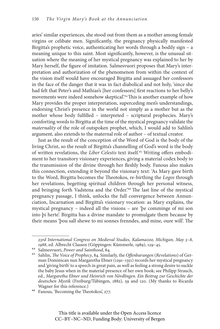aries' similar experiences, she stood out from them as a mother among female virgins or celibate men. Significantly, the pregnancy physically manifested Birgitta's prophetic voice, authenticating her words through a bodily sign – a meaning unique to this saint. Most significantly, however, is the unusual situation where the meaning of her mystical pregnancy was explained to her by Mary herself, the figure of imitation. Salmesvuori proposes that Mary's interpretation and authorization of the phenomenon from within the context of the vision itself would have encouraged Birgitta and assuaged her confessors in the face of the danger that it was in fact diabolical and not holy, 'since she had felt that Peter's and Mathias's [her confessors] first reactions to her belly's movements were indeed somehow skeptical'.64 This is another example of how Mary provides the proper interpretation, superceding men's understandings, endorsing Christ's presence in the world not simply as a mother but as the mother whose body fulfilled – interpreted – scriptural prophecies. Mary's comforting words to Birgitta at the time of the mystical pregnancy validate the *maternality* of the role of outspoken prophet, which, I would add to Sahlin's argument, also extends to the maternal role of author – of textual creator.

Just as the result of the conception of the Word of God is the body of the living Christ, so the result of Birgitta's channelling of God's word is the body of written revelations, the *Liber Celestis* text itself*.* <sup>65</sup> Writing offers embodiment to her transitory visionary experiences, giving a material codex body to the transmission of the divine through her fleshly body. Fanous also makes this connection, extending it beyond the visionary text: 'As Mary gave birth to the Word, Birgitta becomes the Theotokos, re-birthing the *Logos* through her revelations, begetting spiritual children through her personal witness, and bringing forth Vadstena and the Order.<sup>66</sup> The last line of the mystical pregnancy passage, I think, unlocks the full convergence between Annunciation, Incarnation and Birgitta's visionary vocation: as Mary explains, the mystical pregnancy – indeed all the visions – are 'þe comminge of mi son into þi herte'. Birgitta has a divine mandate to promulgate them because by their means 'þou sall shewe to mi sonnes frenndes, and mine, oure will'. The

*<sup>23</sup>rd International Congress on Medieval Studies, Kalamazoo, Michigan, May 5–8, 1988*, ed. Albrecht Classen (Göppingen: Kümmerle, 1989), 129–45.

<sup>64</sup> Salmesvuori, *Power and Sainthood*, 84.

<sup>65</sup> Sahlin, *The Voice of Prophecy*, 84. Similarly, the *Offenbarungen* (*Revelations*) of German Dominican nun Margaretha Ebner (1291–1351) records her mystical pregnancy and 'giving birth' to a speech in great pain, as well as feeling a strong desire to suckle the baby Jesus when in the material presence of her own book; see Philipp Strauch, ed., *Margaretha Ebner und Heinrich von Nördlingen. Ein Beitrag zur Geschichte der deutschen Mystik* (Freiburg/Tübingen, 1882), 59 and 120. (My thanks to Ricarda Wagner for this reference.)

<sup>66</sup> Fanous, 'Becoming the Theotokos', 277.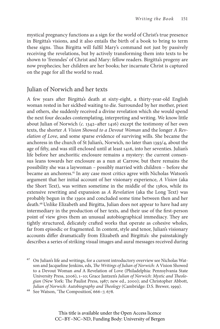mystical pregnancy functions as a sign for the world of Christ's true presence in Birgitta's visions, and it also entails the birth of a book to bring to term these signs. Thus Birgitta will fulfil Mary's command not just by passively receiving the revelations, but by actively transforming them into texts to be shown to 'frenndes' of Christ and Mary: fellow readers. Birgitta's progeny are now prophecies; her children are her books; her incarnate Christ is captured on the page for all the world to read.

## Julian of Norwich and her texts

A few years after Birgitta's death at sixty-eight, a thirty-year-old English woman rested in her sickbed waiting to die. Surrounded by her mother, priest and others, she suddenly received a divine revelation which she would spend the next four decades contemplating, interpreting and writing. We know little about Julian of Norwich (*c*. 1342–after 1416) except the testimony of her own texts, the shorter *A Vision Showed to a Devout Woman* and the longer *A Revelation of Love*, and some sparse evidence of surviving wills. She became the anchoress in the church of St Julian's, Norwich, no later than 1393/4, about the age of fifty, and was still enclosed until at least 1416, into her seventies. Julian's life before her anchoritic enclosure remains a mystery: the current consensus leans towards her enclosure as a nun at Carrow, but there remains the possibility she was a laywoman – possibly married with children – before she became an anchoress.<sup>67</sup> In any case most critics agree with Nicholas Watson's argument that her initial account of her visionary experience, *A Vision* (aka the Short Text), was written sometime in the middle of the 1380s, while its extensive rewriting and expansion as *A Revelation* (aka the Long Text) was probably begun in the 1390s and concluded some time between then and her death.68 Unlike Elizabeth and Birgitta, Julian does not appear to have had any intermediary in the production of her texts, and their use of the first-person point of view gives them an unusual autobiographical immediacy. They are tightly structured, delicately crafted works that operate as cohesive wholes, far from episodic or fragmented. In content, style and tenor, Julian's visionary accounts differ dramatically from Elizabeth and Birgitta's: she painstakingly describes a series of striking visual images and aural messages received during

<sup>67</sup> On Julian's life and writings, for a current introductory overview see Nicholas Watson and Jacqueline Jenkins, eds, *The Writings of Julian of Norwich:* A Vision Showed to a Devout Woman *and* A Revelation of Love (Philadelphia: Pennsylvania State University Press, 2006), 1–10; Grace Jantzen's *Julian of Norwich: Mystic and Theologian* (New York: The Paulist Press, 1987; new ed., 2000); and Christopher Abbott, *Julian of Norwich: Autobiography and Theology* (Cambridge: D.S. Brewer, 1999).

<sup>68</sup> See Watson, 'The Composition', 666–7, 678.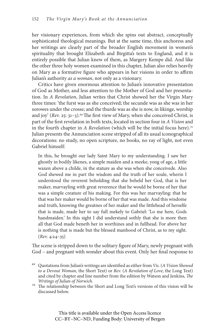her visionary experiences, from which she spins out abstract, conceptually sophisticated theological meanings. But at the same time, this anchoress and her writings are clearly part of the broader English movement in women's spirituality that brought Elizabeth and Birgitta's texts to England, and it is entirely possible that Julian knew of them, as Margery Kempe did. And like the other three holy women examined in this chapter, Julian also relies heavily on Mary as a formative figure who appears in her visions in order to affirm Julian's authority *as a woman*, not only as a visionary.

Critics have given enormous attention to Julian's innovative presentation of God as Mother, and less attention to the Mother of God and her presentation. In *A Revelation*, Julian writes that Christ showed her the Virgin Mary three times: 'the furst was as she conceived; the secunde was as she was in her sorowes under the crosse; and the thurde was as she is now, in likinge, worship and joy' (*Rev.* 25: 31-3).<sup>69</sup> The first view of Mary, when she conceived Christ, is part of the first revelation in both texts, located in section four in *A Vision* and in the fourth chapter in *A Revelation* (which will be the initial focus here).<sup>70</sup> Julian presents the Annunciation scene stripped of all its usual iconographical decorations: no study, no open scripture, no books, no ray of light, not even Gabriel himself:

In this, he brought our lady Saint Mary to my understanding. I saw her ghostly in bodily likenes, a simple maiden and a meeke, yong of age, a little waxen above a childe, in the stature as she was when she conceivede. Also God shewed me in part the wisdom and the truth of her soule, wherin I understood the reverent beholding that she beheld her God, that is her maker, marvayling with great reverence that he would be borne of her that was a simple creature of his making. For this was her marvayling: that he that was her maker would be borne of her that was made. And this wisdome and truth, knowing the greatnes of her maker and the littlehead of herselfe that is made, made her to say full mekely to Gabriel: 'Lo me here, Gods handmaiden.' In this sight I did understand sothly that she is more then all that God made beneth her in worthines and in fullhead. For above her is nothing that is made but the blessed manhood of Christ, as to my sight. (*Rev.* 4:24–35)

The scene is stripped down to the solitary figure of Mary, newly pregnant with God – and pregnant with wonder about this event. Only her final response to

<sup>69</sup> Quotations from Julian's writings are identified as either from *Vis.* (*A Vision Showed to a Devout Woman*, the Short Text) or *Rev.* (*A Revelation of Love*, the Long Text) and cited by chapter and line number from the edition by Watson and Jenkins, *The Writings of Julian of Norwich*.

<sup>70</sup> The relationship between the Short and Long Text's versions of this vision will be discussed below.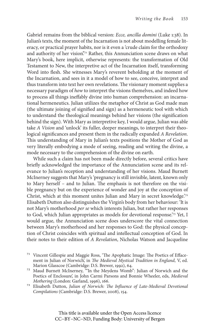Gabriel remains from the biblical version: *Ecce, ancilla domini* (Luke 1:38). In Julian's texts, the moment of the Incarnation is not about modelling female literacy, or practical prayer habits, nor is it even a 'crude claim for the orthodoxy and authority of her vision."<sup>71</sup> Rather, this Annunciation scene draws on what Mary's book, here implicit, otherwise represents: the transformation of Old Testament to New, the interpretive act of the Incarnation itself, transforming Word into flesh. She witnesses Mary's reverent beholding at the moment of the Incarnation, and sees in it a model of how to see, conceive, interpret and thus transform into text her own revelations. The visionary moment supplies a necessary paradigm of *how* to interpret the visions themelves, and indeed how to process all things ineffably divine into human comprehension: an incarnational hermeneutics. Julian utilizes the metaphor of Christ as God made man (the ultimate joining of signified and sign) as a hermeneutic tool with which to understand the theological meanings behind her visions (the signification behind the sign). With Mary as interpretive key, I would argue, Julian was able take *A Vision* and 'unlock' its fuller, deeper meanings, to interpret their theological significances and present them in the radically expanded *A Revelation*. This understanding of Mary in Julian's texts positions the Mother of God as very literally embodying a mode of seeing, reading and writing the divine, a mode necessary to the comprehension of the divine on earth.

While such a claim has not been made directly before, several critics have briefly acknowledged the importance of the Annunciation scene and its relevance to Julian's reception and understanding of her visions. Maud Burnett McInerney suggests that Mary's 'pregnancy is still invisible, latent, known only to Mary herself – and to Julian. The emphasis is not therefore on the visible pregnancy but on the experience of wonder and joy at the conception of Christ, which at this moment unites Julian and Mary in secret knowledge.'72 Elisabeth Dutton also distinguishes the Virgin's body from her behaviour: 'It is not Mary's motherhood *per se* which interests Julian, but rather her responses to God, which Julian appropriates as models for devotional response.'73 Yet, I would argue, the Annunciation scene does underscore the vital connection between Mary's motherhood and her responses to God: the physical conception of Christ coincides with spiritual and intellectual conception of God. In their notes to their edition of *A Revelation*, Nicholas Watson and Jacqueline

<sup>71</sup> Vincent Gillespie and Maggie Ross, 'The Apophatic Image: The Poetics of Effacement in Julian of Norwich', in *The Medieval Mystical Tradition in England*, V, ed. Marion Glasscoe (Cambridge: D.S. Brewer, 1992), 64.

<sup>72</sup> Maud Burnett McInerney, '"In the Meydens Womb": Julian of Norwich and the Poetics of Enclosure', in John Carmi Parsons and Bonnie Wheeler, eds, *Medieval Mothering* (London: Garland, 1996), 166.

<sup>73</sup> Elisabeth Dutton, *Julian of Norwich: The Influence of Late-Medieval Devotional Compilations* (Cambridge: D.S. Brewer, 2008), 154.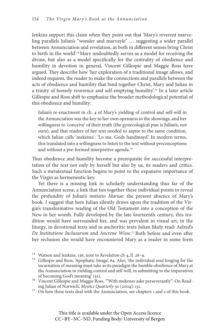Jenkins support this claim when they point out that 'Mary's reverent marveling parallels Julian's "wonder and marvayle" … suggesting a wider parallel between Annunciation and revelation, as both in different senses bring Christ to birth in the world'.74 Mary undoubtedly serves as a model for receiving the divine, but also as a model specifically for the centrality of obedience and humility in devotion in general, Vincent Gillespie and Maggie Ross have argued. They describe how 'her exploration of a traditional image allows, and indeed requires, the reader to make the connections and parallels between the acts of obedience and humility that bind together Christ, Mary and Julian in a trinity of homely reverence and self-emptying humility'.75 In a later article Gillespie and Ross shift to emphasize the broader methodological potential of this obedience and humility:

Julian's re-enactment in ch. 4 of Mary's yielding of control and self-will in the Annunciation was the key to her own openness to the showings, and her willingness to 'conceive' of their truth (the gynecological pun is Julian's, not ours), and that readers of her text needed to aspire to the same condition, which Julian calls 'mekenes': 'Lo me, Gods handmayd.' In modern terms, this translated into a willingness to listen to the text without preconceptions and without a pre-formed interpretive agenda.<sup>76</sup>

Thus obedience and humility become a prerequisite for successful interpretation of the text not only by herself but also by us, its readers and critics. Such a metatextual function begins to point to the expansive importance of the Virgin as hermeneutic key.

Yet there is a missing link in scholarly understanding thus far of the Annunciation scene, a link that ties together these individual points to reveal the profundity of Julian's *imitatio Mariae*: the present absence of Mary's book. I suggest that here Julian silently draws upon the tradition of the Virgin's transformative reading of the Old Testament into a conception of the New in her womb. Fully developed by the late fourteenth century, this tradition would have surrounded her, and was prevalent in visual art, in the liturgy, in devotional texts and in anchoritic texts Julian likely read: Aelred's *De Institutione Inclusarum* and *Ancrene Wisse*. 77 Both before and even after her reclusion she would have encountered Mary as a reader in some form

<sup>74</sup> Watson and Jenkins, 136, note to *Revelation* ch 4, ll. 28–9.

<sup>75</sup> Gillespie and Ross, 'Apophatic Image', 64. Also, 'the individual soul longing for the incarnation of meaning must take as its paradigm the humble obedience of Mary at the Annunciation in yielding control and self-will, in submitting to the imperatives of becoming God's meaning' (55).

<sup>76</sup> Vincent Gillespie and Maggie Ross, '"With mekenes aske perseverantly": On Reading Julian of Norwich', *Mystics Quarterly* 30 (2004): 131.

<sup>&</sup>lt;sup>77</sup> On how these texts deal with the Annunciation, see chapters 1 and 2 of this book.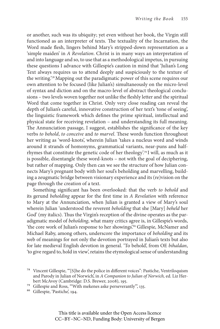or another, such was its ubiquity; yet even without her book, the Virgin still functioned as an interpreter of texts. The textuality of the Incarnation, the Word made flesh, lingers behind Mary's stripped-down representation as a 'simple maiden' in *A Revelation*. Christ is in many ways an interpretation of and into language and so, to use that as a methodological impetus, in pursuing these questions I advance with Gillespie's caution in mind that 'Julian's Long Text always requires us to attend deeply and suspiciously to the texture of the writing.'78 Mapping out the paradigmatic power of this scene requires our own attention to be focused (like Julian's) simultaneously on the micro-level of syntax and diction and on the macro-level of abstract theological conclusions – two levels woven together not unlike the fleshly letter and the spiritual Word that come together in Christ. Only very close reading can reveal the depth of Julian's careful, innovative construction of her text's 'tone of seeing', the linguistic framework which defines the prime spiritual, intellectual and physical state for receiving revelation – and understanding its full meaning. The Annunciation passage, I suggest, establishes the significance of the key verbs *to behold*, *to conceive* and *to marvel*. These words function throughout her writing as 'word-knots', wherein Julian 'takes a nucleus word and winds around it strands of homonyms, grammatical variants, near-puns and halfrhymes that constitute the genetic code of her theology'.79 I will, as much as it is possible, disentangle these word-knots – not with the goal of deciphering, but rather of mapping. Only then can we see the structure of how Julian connects Mary's pregnant body with her soul's beholding and marvelling, building a zeugmatic bridge between visionary experience and its (re)vision on the page through the creation of a text.

Something significant has been overlooked: that the verb *to behold* and its gerund *beholding* appear for the first time in *A Revelation* with reference to Mary at the Annunciation, when Julian is granted a view of Mary's soul wherein Julian 'understood the reverent *beholding* that she [Mary] *beheld* her God' (my italics). Thus the Virgin's reception of the divine operates as the paradigmatic model of *beholding*, what many critics agree is, in Gillespie's words, 'the core work of Julian's response to her showings'.80 Gillespie, McNamer and Michael Raby, among others, underscore the importance of *beholding* and its web of meanings for not only the devotion portrayed in Julian's texts but also for late medieval English devotion in general. 'To behold', from OE *bihaldan*, 'to give regard to, hold in view', retains the etymological sense of understanding

79 Gillespie and Ross, '"With mekenes aske perseverantly"', 135.

80 Gillespie, 'Pastiche', 194.

<sup>78</sup> Vincent Gillespie, '"[S]he do the police in different voices": Pastiche, Ventriloquism and Parody in Julian of Norwich', in *A Companion to Julian of Norwich,* ed. Liz Herbert McAvoy (Cambridge: D.S. Brewer, 2008), 195.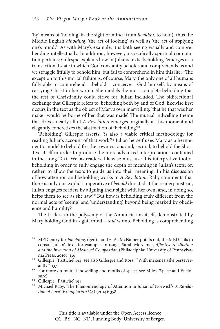'by' means of 'holding' in the sight or mind (from *healdan*, to hold); thus the Middle English *biholding*, 'the act of looking', as well as 'the act of applying one's mind'.<sup>81</sup> As with Mary's example, it is both seeing visually and comprehending intellectually. In addition, however, a specifically spiritual connotation pertains; Gillespie explains how in Julian's texts 'beholding' 'emerges as a transactional state in which God constantly beholds and comprehends us and we struggle fitfully to behold him, but fail to comprehend in him this life'.<sup>82</sup> The exception to this mortal failure is, of course, Mary, the only one of all humans fully able to comprehend – behold – conceive – God himself, by means of carrying Christ in her womb. She models the most complete beholding that the rest of Christianity could strive for, Julian included. The bidirectional exchange that Gillespie refers to, beholding both by and of God, likewise first occurs in the text as the object of Mary's own marvelling: 'that he that was her maker would be borne of her that was made'. The mutual indwelling theme that drives nearly all of *A Revelation* emerges originally at this moment and elegantly concretizes the abstraction of 'beholding'.83

'Beholding', Gillespie asserts, 'is also a viable critical methodology for reading Julian's account of that work.<sup>284</sup> Julian herself uses Mary as a hermeneutic model to behold first her own visions and, second, to behold the Short Text itself in order to produce the more advanced interpretations contained in the Long Text. We, as readers, likewise must use this interpretive tool of beholding in order to fully engage the depth of meaning in Julian's texts; or, rather, to allow the texts to guide us into their meaning. In his discussion of how attention and beholding works in *A Revelation*, Raby comments that there is only one explicit imperative of *behold* directed at the reader; 'instead, Julian engages readers by aligning their sight with her own, and, in doing so, helps them to see as she saw.<sup>85</sup> But how is beholding truly different from the normal acts of 'seeing' and 'understanding', beyond being marked by obedience and humility?

The trick is in the polysemy of the Annunciation itself, demonstrated by Mary holding God in sight, mind – *and* womb. Beholding is comprehending

- <sup>81</sup> MED entry for *biholding*, (ger.)1, and 2. As McNamer points out, the MED fails to consult Julian's texts for examples of usage; Sarah McNamer, *Affective Meditation and the Invention of Medieval Compassion* (Philadelphia: University of Pennsylvania Press, 2010), 136.
- 82 Gillespie, 'Pastiche', 194; see also Gillespie and Ross, "With mekenes aske perseverantly"', 137.
- <sup>83</sup> For more on mutual indwelling and motifs of space, see Miles, 'Space and Enclosure'.
- 84 Gillespie, 'Pastiche', 194.
- 85 Michael Raby, 'The Phenomenology of Attention in Julian of Norwich's *A Revelation of Love'*, *Exemplaria* 26(4) (2014): 358.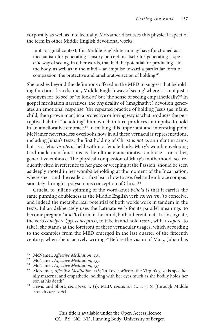corporally as well as intellectually. McNamer discusses this physical aspect of the term in other Middle English devotional works:

In its original context, this Middle English term may have functioned as a mechanism for generating sensory perception itself: for generating a specific way of seeing, in other words, that had the potential for producing – in the body, as well as in the mind – an impulse toward a particular form of compassion: the protective and ameliorative action of holding.<sup>86</sup>

She pushes beyond the definitions offered in the MED to suggest that beholding functions 'as a distinct, Middle English way of seeing' where it is not just a synonym for 'to see' or 'to look at' but 'the sense of seeing empathetically.<sup>87</sup> In gospel meditation narratives, the physicality of (imaginative) devotion generates an emotional response: 'the repeated practice of holding Jesus (as infant, child, then grown man) in a protective or loving way is what produces the perceptive habit of "beholding" him, which in turn produces an impulse to hold in an ameliorative embrace.<sup>88</sup> In making this important and interesting point McNamer nevertheless overlooks how in all these vernacular representations, including Julian's texts, the first holding of Christ is *not* as an infant in arms, but as a fetus *in utero*, held within a female body. Mary's womb enveloping God made man functions as the ultimate ameliorative embrace – or rather, generative embrace. The physical compassion of Mary's motherhood, so frequently cited in reference to her gaze or weeping at the Passion, should be seen as deeply rooted in her womb's beholding at the moment of the Incarnation, where she – and the readers – first learn how to see, feel and embrace compassionately through a polysemous conception of Christ.<sup>89</sup>

Crucial to Julian's spinning of the word-knot *behold* is that it carries the same punning doubleness as the Middle English verb *conceiven*, 'to conceive', and indeed the metaphorical potential of both words work in tandem in the texts. Julian deliberately uses the Latinate verb for its parallel meanings 'to become pregnant' and 'to form in the mind', both inherent in its Latin cognate, the verb *concipere* (pp. *conceptus*), to take in and hold (*con*-, with + *capere*, to take); she stands at the forefront of these vernacular usages, which according to the examples from the MED emerged in the last quarter of the fifteenth century, when she is actively writing.<sup>90</sup> Before the vision of Mary, Julian has

- 86 McNamer, *Affective Meditation*, 135.
- 87 McNamer, *Affective Meditation*, 135.
- 88 McNamer, *Affective Meditation*, 137.
- 89 McNamer, *Affective Meditation*, 138; 'In Love's *Mirror*, the Virgin's gaze is specifically maternal and empathetic, holding with her eyes much as she bodily holds her son at his death.'
- 90 Lewis and Short, *concipere*, v. (1); MED, *conceiven* (v. 1, 5, 6) (through Middle French *concevoir*).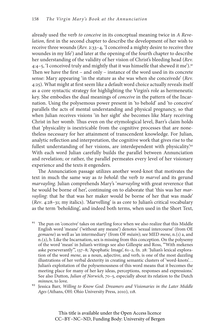already used the verb *to conceive* in its conceptual meaning twice in *A Revelation*, first in the second chapter to describe the development of her wish to receive three wounds (*Rev.* 2:33–4*,* 'I conceived a mighty desire to receive thre woundes in my life') and later at the opening of the fourth chapter to describe her understanding of the validity of her vision of Christ's bleeding head (*Rev.*  4:4–5, T conceived truly and mightly that it was himselfe that shewed it me').<sup>91</sup> Then we have the first – and only – instance of the word used in its concrete sense: Mary appearing 'in the stature as she was when she conceivede' (*Rev.* 4:25). What might at first seem like a default word choice actually reveals itself as a core syntactic strategy for highlighting the Virgin's role as hermeneutic key. She embodies the dual meanings of *conceive* in the pattern of the Incarnation. Using the polysemous power present in 'to behold' and 'to conceive' parallels the acts of mental understanding and physical pregnancy, so that when Julian receives visions 'in her sight' she becomes like Mary receiving Christ in her womb. Thus even on the etymological level, Barr's claim holds that 'physicality is inextricable from the cognitive processes that are nonetheless necessary for her attainment of transcendent knowledge. For Julian, analytic reflection and interpretation, the cognitive work that gives rise to the fullest understanding of her visions, are interdependent with physicality.<sup>92</sup> With each word Julian carefully builds the parallel between Annunciation and revelation; or rather, the parallel permeates every level of her visionary experience and the texts it engenders.

The Annunciation passage utilizes another word-knot that motivates the text in much the same way as *to behold*: the verb *to marvel* and its gerund *marvayling*. Julian comprehends Mary's '*marvayling* with great reverence that he would be borne of her', continuing on to elaborate that 'this was her *marvayling*: that he that was her maker would be borne of her that was made' (*Rev*. 4:28–31; my italics). 'Marvelling' is as core to Julian's critical vocabulary as the term 'beholding', and indeed both terms, when used in the Short Text,

<sup>91</sup> The pun on 'conceive' takes on startling force when we also realize that this Middle English word 'meane' ('without any meane') denotes 'sexual intercourse' (from OE *gemaene*) as well as 'an intermediary' (from OF *mëain*); see MED *mene*, n.(1) a, and n.(2), b. Like the Incarnation, sex is missing from this conception. On the polysemy of the word 'mean' in Julian's writings see also Gillespie and Ross, '"With mekenes aske perseverantly"', 137–8; 'Apophatic Image', 61–2, fn. 28: 'Julian's lexical exploration of the word *mene*, as a noun, adjective, and verb, is one of the most dazzling illustrations of her verbal dexterity in creating semantic clusters of 'word-knots'… Julian's exploitation of the polysemousness of this word means that it becomes the meeting place for many of her key ideas, perceptions, responses and expressions.' See also Dutton, *Julian of Norwich*, 70–5, especially about its relation to the Dutch *minnen*, to love.

92 Jessica Barr, *Willing to Know God: Dreamers and Visionaries in the Later Middle Ages* (Athans, OH: Ohio University Press, 2010), 118.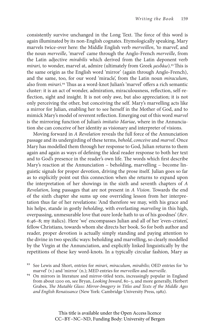consistently survive unchanged in the Long Text. The force of this word is again illuminated by its non-English cognates. Etymologically speaking, Mary marvels twice-over here: the Middle English verb *merveillen*, 'to marvel', and the noun *merveille*, 'marvel' came through the Anglo-French *merveille*, from the Latin adjective *mirabilis* which derived from the Latin deponent verb *mirari,* to wonder, marvel at, admire (ultimately from Greek *μειδάω*).93 This is the same origin as the English word 'mirror' (again through Anglo-French), and the same, too, for our word 'miracle', from the Latin noun *miraculum*, also from *mirari*. 94 Thus as a word-knot Julian's 'marvel' offers a rich semantic cluster: it is an act of wonder, admiration, miraculousness, reflection, self-reflection, sight and insight. It is not only awe, but also appreciation; it is not only perceiving the other, but conceiving the self. Mary's marvelling acts like a mirror for Julian, enabling her to see herself in the Mother of God, and to mimick Mary's model of reverent reflection. Emerging out of this word *marvel*  is the mirroring function of Julian's *imitatio Mariae*, where in the Annunciation she can conceive of her identity as visionary and interpreter of visions.

Moving forward in *A Revelation* reveals the full force of the Annunciation passage and its undergirding of these terms, *behold*, *conceive* and *marvel*. Once Mary has modelled them through her response to God, Julian returns to them again and again as ways of defining the ideal reader response to both her text and to God's presence in the reader's own life. The words which first describe Mary's reaction at the Annunciation – beholding, marvelling – become linguistic signals for proper devotion, driving the prose itself. Julian goes so far as to explicitly point out this connection when she returns to expand upon the interpretation of her showings in the sixth and seventh chapters of *A Revelation*, long passages that are not present in *A Vision*. Towards the end of the sixth chapter she sums up one overriding lesson from her interpretation thus far of her revelations: 'And therefore we may, with his grace and his helpe, stande in gostly *beholding*, with everlasting *marveling* in this high, overpassing, unmesurable love that oure lorde hath to us of his goodnes' (*Rev*. 6:46–8; my italics). Here 'we' encompasses Julian and all of her 'even-cristen', fellow Christians, towards whom she directs her book. So for both author and reader, proper devotion is actually simply standing and paying attention to the divine in two specific ways: beholding and marvelling, so clearly modelled by the Virgin at the Annunciation, and explicitly linked linguistically by the repetitions of these key word-knots. In a typically circular fashion, Mary as

<sup>94</sup> On mirrors in literature and mirror-titled texts, increasingly popular in England from about 1200 on, see Bryan, *Looking Inward*, 80–3, and more generally, Herbert Grabes, *The Mutable Glass: Mirror-Imagery in Titles and Texts of the Middle Ages and English Renaissance* (New York: Cambridge University Press, 1982).

<sup>93</sup> See Lewis and Short, entries for *mirari*, *miraculum*, *mirabilis*; OED entries for 'to marvel' (v.) and 'mirror' (n.); MED entries for *merveillen* and *merveille*.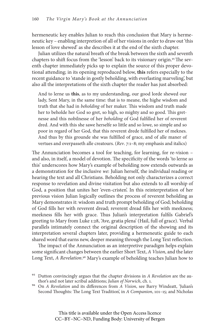hermeneutic key enables Julian to reach this conclusion that Mary is hermeneutic key – enabling interpretion of all of her visions in order to draw out 'this lesson of love shewed' as she describes it at the end of the sixth chapter.

Julian utilizes the natural breath of the break between the sixth and seventh chapters to shift focus from the 'lesson' back to its visionary origin.<sup>95</sup> The seventh chapter immediately picks up to explain the source of this proper devotional attending; in its opening reproduced below, **this** refers especially to the recent guidance to 'stande in gostly beholding, with everlasting marveling', but also all the interpretations of the sixth chapter the reader has just absorbed:

And to lerne us **this**, as to my understanding, our good lorde shewed our lady, Sent Mary, in the same time: that is to meane, the highe wisdom and truth that she had in *beholding* of her maker. This wisdom and truth made her to beholde her God so gret, so high, so mighty and so good. This gretnesse and this nobilnesse of her *beholding* of God fulfilled her of reverent dred. And with this she sawe herselfe so little and so lowe, so simple and so poor in regard of her God, that this reverent drede fulfilled her of meknes. And thus by this grounde she was fulfilled of grace, and of alle maner of vertues and overpasseth alle creatours. (*Rev*. 7:1–8; my emphasis and italics)

The Annunciation becomes a tool for teaching, for learning, for re-vision – and also, in itself, a model of devotion. The specificity of the words 'to lerne *us* this' underscores how Mary's example of beholding now extends outwards as a demonstration for the inclusive *we*: Julian herself, the individual reading or hearing the text and all Christians. Beholding not only characterizes a correct response to revelation and divine visitation but also extends to all worship of God, a position that unites her 'even-cristen'. In this reinterpretation of her previous vision Julian logically outlines the process of reverent beholding as Mary demonstrates it: wisdom and truth prompt beholding of God; beholding of God fills her with reverent dread; reverent dread fills her with meekness; meekness fills her with grace. Thus Julian's interpretation fulfils Gabriel's greeting to Mary from Luke 1:28, 'Ave, gratia plena' (Hail, full of grace). Verbal parallels intimately connect the original description of the showing and its interpretation several chapters later, providing a hermeneutic guide to each shared word that earns new, deeper meaning through the Long Text reflection.

The impact of the Annunciation as an interpretive paradigm helps explain some significant changes between the earlier Short Text, *A Vision*, and the later Long Text, *A Revelation*. 96 Mary's example of beholding teaches Julian how to

<sup>95</sup> Dutton convincingly argues that the chapter divisions in *A Revelation* are the author's and not later scribal additions; *Julian of Norwich*, ch. 1.

<sup>96</sup> On *A Revelation* and its differences from *A Vision*, see Barry Windeatt, 'Julian's Second Thoughts: The Long Text Tradition', in *A Companion*, 101–15; and Nicholas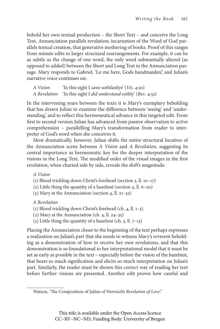behold her own textual production – the Short Text – and conceive the Long Text. Annunciation parallels revelation; incarnation of the Word of God parallels textual creation, that generative mothering of books. Proof of this ranges from minute edits to larger structural rearrangements. For example, it can be as subtle as the change of one word, the only word substantially altered (as opposed to added) between the Short and Long Text in the Annunciation passage. Mary responds to Gabriel, 'Lo me here, Gods handmaiden', and Julian's narrative voice continues on:

*A Vision* 'In this sight I *sawe* sothfastlye' (*Vis.* 4:30) *A Revelation* 'In this sight I *did understand* sothly' (*Rev*. 4:33)

In the intervening years between the texts it is Mary's exemplary beholding that has drawn Julian to examine the difference between 'seeing' and 'understanding,' and to reflect this hermeneutical advance in this targeted edit. From first to second version Julian has advanced from passive observation to active comprehension – parallelling Mary's transformation from reader to interpreter of God's word when she conceives it.

Most dramatically, however, Julian shifts the entire structural location of the Annunciation scene between *A Vision* and *A Revelation*, suggesting its central importance as hermeneutic key for the deeper interpretation of the visions in the Long Text. The modified order of the visual images in the first revelation, when charted side by side, reveals the shift's magnitude:

*A Vision*

- (1) Blood trickling down Christ's forehead (section 3, ll. 10–17)
- (2) Little thing the quantity of a hazelnut (section 4, ll. 6–20)
- (3) Mary at the Annunciation (section 4, ll. 21–32)

*A Revelation*

- (1) Blood trickling down Christ's forehead (ch. 4, ll. 1–5)
- (2) Mary at the Annunciation (ch. 4, ll. 24–35)
- (3) Little thing the quantity of a hazelnut (ch.  $5$ , ll.  $7-13$ )

Placing the Annunciation closer to the beginning of the text perhaps expresses a realization on Julian's part that she needs to witness Mary's reverent beholding as a demonstration of how to receive her own revelations, and that this demonstration is so foundational to her interpretational model that it must be set as early as possible in the text – especially before the vision of the hazelnut, that bears so much signification and elicits so much interpretation on Julian's part. Similarly, the reader must be shown this correct way of reading her text before further visions are presented. Another edit proves how careful and

Watson, 'The Composition of Julian of Norwich's *Revelation of Love'*.'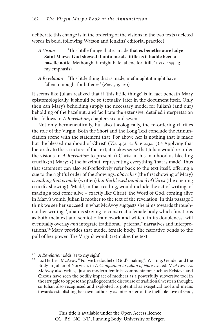deliberate this change is in the ordering of the visions in the two texts (deleted words in bold, following Watson and Jenkins' editorial practice):

- *A Vision* 'This litille thinge that es made **that es benethe oure ladye Saint Marye, God shewed it unto me als litille as it hadde been a haselle notte.** Methought it might hafe fallene for litille.' (*Vis.* 4:33–4; my emphasis)
- *A Revelation* 'This little thing that is made, methought it might have fallen to nought for littlenes.' (*Rev*. 5:19–20)

It seems like Julian realized that if 'this litille thinge' is in fact beneath Mary epistomologically, it should be so textually, later in the document itself. Only then can Mary's beholding supply the necessary model for Julian's (and our) beholding of the hazelnut, and facilitate the extensive, detailed interpretation that follows in *A Revelation*, chapters six and seven.

Not only hermeneutically, but also theologically, the re-ordering clarifies the role of the Virgin. Both the Short and the Long Text conclude the Annunciation scene with the statement that 'For above her is nothing that is made but the blessed manhood of Christ' (*Vis.* 4:31–2; *Rev.* 4:34–5).<sup>97</sup> Applying that hierarchy to the structure of the text, it makes sense that Julian would re-order the visions in *A Revelation* to present 1) Christ in his manhood as bleeding crucifix; 2) Mary; 3) the hazelnut, representing everything 'that is made'. Thus that statement can also self-reflexively refer back to the text itself, offering a cue to the rightful order of the showings: *above her* (the first showing of Mary) *is nothing that is made* (written) *but the blessed manhood of Christ* (the opening crucifix showing). 'Made', in that reading, would include the act of writing, of making a text come alive – exactly like Christ, the Word of God, coming alive in Mary's womb. Julian is mother to the text of the revelation. In this passage I think we see her succeed in what McAvoy suggests she aims towards throughout her writing: 'Julian is striving to construct a female body which functions as both metatext and semiotic framework and which, in its doubleness, will eventually overlay *and* integrate traditional "paternal" narratives and interpretations.'98 Mary provides that model female body. The narrative bends to the pull of her power. The Virgin's womb (re)makes the text.

97 *A Revelation* adds 'as to my sight'.

<sup>98</sup> Liz Herbert McAvoy, "For we be doubel of God's making": Writing, Gender and the Body in Julian of Norwich', in *A Companion to Julian of Norwich*, ed. McAvoy, 172. McAvoy also writes, 'just as modern feminist commentators such as Kristeva and Cixous have seen the bodily impact of mothers as a powerfully subversive tool in the struggle to oppose the phallogocentric discourse of traditional western thought, so Julian also recognised and exploited its potential as exegetical tool and means towards establishing her own authority as interpreter of the ineffable love of God',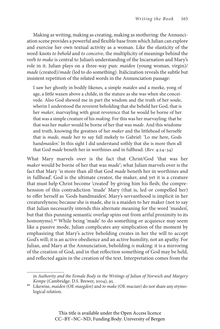Making as writing, making as creating, making as mothering: the Annunciation scene provides a powerful and flexible base from which Julian can explore and exercise her own textual activity as a woman. Like the elasticity of the word-knots *to behold* and *to conceive*, the multiplicity of meanings behind the verb *to make* is central to Julian's understanding of the Incarnation and Mary's role in it. Julian plays on a three-way pun: *maiden* (young woman, virgin)/ *made* (created)/*made* (led to do something). Italicization reveals the subtle but insistent repetition of the related words in the Annunciation passage:

I saw her ghostly in bodily likenes, a simple *maiden* and a meeke, yong of age, a little waxen above a childe, in the stature as she was when she conceivede. Also God shewed me in part the wisdom and the truth of her soule, wherin I understood the reverent beholding that she beheld her God, that is her *maker*, marvayling with great reverence that he would be borne of her that was a simple creature of his *making*. For this was her marvayling: that he that was her *maker* would be borne of her that was *made*. And this wisdome and truth, knowing the greatnes of her *maker* and the littlehead of herselfe that is *made*, *made* her to say full mekely to Gabriel: 'Lo me here, Gods hand*maiden*.' In this sight I did understand sothly that she is more then all that God *made* beneth her in worthines and in fullhead. (*Rev.* 4:24–34)

What Mary marvels over is the fact that Christ/God 'that was her *maker* would be borne of her that was *made*'; what Julian marvels over is the fact that Mary 'is more than all that God *made* beneth her in worthines and in fullhead'. God is the ultimate creator, the maker, and yet it is a creature that must help Christ become 'created' by giving him his flesh; the comprehension of this contradiction 'made' Mary (that is, led or compelled her) to offer herself as 'Gods handmaiden'. Mary's servanthood is implicit in her creaturelyness; because she is made, she is a maiden to her maker (not to say that Julian necessarily intends this alternate meaning for the word 'maiden', but that this punning semantic overlap spins out from artful proximity to its homonyms).99 While being 'made' to do something or acquiesce may seem like a passive mode, Julian complicates any simplication of the moment by emphasizing that Mary's active beholding creates in her the will to accept God's will; it is an active obedience and an active humility, not an apathy. For Julian, and Mary at the Annunciation, beholding *is* making: it is a mirroring of the creation of God, and in that reflection something of God may be held, and reflected again in the creation of the text. Interpretation comes from the

in *Authority and the Female Body in the Writings of Julian of Norwich and Margery Kempe* (Cambridge: D.S. Brewer, 2004), 95.

<sup>99</sup> Likewise, *maiden* (OE *maegden*) and *to make* (OE *macian*) do not share any etymological relation.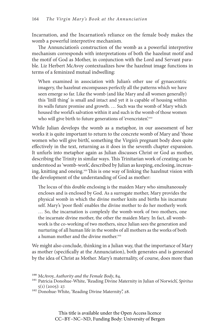Incarnation, and the Incarnation's reliance on the female body makes the womb a powerful interpretive mechanism.

The Annunciation's construction of the womb as a powerful interpretive mechanism corresponds with interpretations of both the hazelnut motif and the motif of God as Mother, in conjunction with the Lord and Servant parable. Liz Herbert McAvoy contextualizes how the hazelnut image functions in terms of a feminized mutual indwelling:

When examined in association with Julian's other use of gynaecentric imagery, the hazelnut encompasses perfectly all the patterns which we have seen emerge so far. Like the womb (and like Mary and all women generally) this 'litill thing' is small and intact and yet it is capable of housing within its walls future promise and growth. … Such was the womb of Mary which housed the world's salvation within it and such is the womb of those women who will give birth to future generations of 'evencristen'.<sup>100</sup>

While Julian develops the womb as a metaphor, in our assessment of her works it is quite important to return to the concrete womb of Mary and 'those women who will give birth', something the Virgin's pregnant body does quite effectively in the text, returning as it does in the seventh chapter expansion. It unfurls into metaphor again as Julian discusses Christ or God as mother, describing the Trinity in similar ways. This Trinitarian work of creating can be understood as 'womb-work', described by Julian as keeping, enclosing, increasing, knitting and oneing.101 This is one way of linking the hazelnut vision with the development of the understanding of God as mother:

The locus of this double enclosing is the maiden Mary who simultaneously encloses and is enclosed by God. As a surrogate mother, Mary provides the physical womb in which the divine mother knits and births his incarnate self. Mary's 'poor flesh' enables the divine mother to do her motherly work … So, the incarnation is complexly the womb-work of two mothers, one the incarnate divine mother, the other the maiden Mary. In fact, all wombwork is the co-working of two mothers, since Julian sees the generation and nurturing of all human life in the wombs of all mothers as the works of both a human mother and the divine mother<sup>102</sup>

We might also conclude, thinking in a Julian way, that the importance of Mary as mother (specifically at the Annunciation), both generates and is generated by the idea of Christ as Mother. Mary's maternality, of course, does more than

<sup>102</sup> Donohue-White, 'Reading Divine Maternity," 28.

<sup>100</sup> McAvoy, *Authority and the Female Body*, 84.

<sup>101</sup> Patricia Donohue-White, 'Reading Divine Maternity in Julian of Norwich', *Spiritus* 5(1) (2005): 27.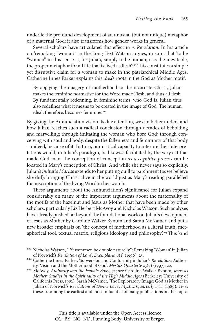underlie the profound development of an unusual (but not unique) metaphor of a maternal God: it also transforms how gender works in general.

Several scholars have articulated this effect in *A Revelation*. In his article on 'remaking "woman"' in the Long Text Watson argues, in sum, that 'to be "woman" in this sense is, for Julian, simply to be human; it is the inevitable, the proper metaphor for all life that is lived as flesh'.103 This constitutes a simple yet disruptive claim for a woman to make in the patriarchical Middle Ages. Catherine Innes Parker explains this idea's roots in the God as Mother motif:

By applying the imagery of motherhood to the incarnate Christ, Julian makes the feminine normative for the Word made Flesh, and thus all flesh. By fundamentally redefining, in feminine terms, who God is, Julian thus also redefines what it means to be created in the image of God. The human ideal, therefore, becomes feminine.104

By giving the Annunciation vision its due attention, we can better understand how Julian reaches such a radical conclusion through decades of beholding and marvelling; through imitating the woman who bore God; through conceiving with soul and body, despite the fallenness and femininity of that body – indeed, because of it. In turn, our critical capacity to interpret her interpretations would, in Julian's paradigm, be likewise facilitated by the very act that made God man: the conception of conception *as a cognitive process* can be located in Mary's conception of Christ. And while she never says so explicitly, Julian's *imitatio Mariae* extends to her putting quill to parchment (as we believe she did): bringing Christ alive in the world just as Mary's reading parallelled the inscription of the living Word in her womb.

These arguments about the Annunciation's significance for Julian expand considerably on many of the important arguments about the maternality of the motifs of the hazelnut and Jesus as Mother that have been made by other scholars, particularly Liz Herbert McAvoy and Nicholas Watson. Such analyses have already pushed far beyond the foundational work on Julian's development of Jesus as Mother by Caroline Walker Bynum and Sarah McNamer, and put a new broader emphasis on 'the concept of motherhood as a literal truth, metaphorical tool, textual matrix, religious ideology and philosophy'.<sup>105</sup> This kind

105 McAvoy, *Authority and the Female Body*, 75; see Caroline Walker Bynum, *Jesus as Mother: Studies in the Spirituality of the High Middle Ages* (Berkeley: University of California Press, 1982); Sarah McNamer, 'The Exploratory Image: God as Mother in Julian of Norwich's *Revelations of Divine Love'*, *Mystics Quarterly* 15(1) (1989): 21–8; these are among the earliest and most influential of many publications on this topic.

<sup>103</sup> Nicholas Watson, '"Yf wommen be double naturelly": Remaking 'Woman' in Julian of Norwich's *Revelation of Love'*, *Exemplaria* 8(1) (1996): 25.

<sup>104</sup> Catherine Innes-Parker, 'Subversion and Conformity in Julian's *Revelation*: Authority, Vision and the Motherhood of God', *Mystics Quarterly* 23(2) (1997): 22.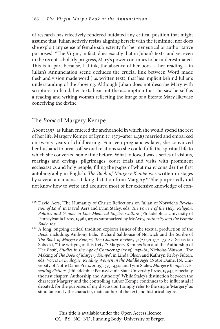of research has effectively rendered outdated any critical position that might assume that 'Julian actively resists aligning herself with the feminine, nor does she exploit any sense of female subjectivity for hermeneutical or authoritative purposes.'106 The Virgin, in fact, does exactly that in Julian's texts; and yet even in the recent scholarly progress, Mary's power continues to be underestimated. This is in part because, I think, the absence of her book – her reading – in Julian's Annunciation scene occludes the crucial link between Word made flesh and vision made word (i.e. written text), that lies implicit behind Julian's understanding of the showing. Although Julian does not describe Mary with scriptures in hand, her texts bear out the assumption that she saw herself as a reading and writing woman reflecting the image of a literate Mary likewise conceiving the divine.

### The *Book* of Margery Kempe

About 1393, as Julian entered the anchorhold in which she would spend the rest of her life, Margery Kempe of Lynn (*c*. 1373–after 1438) married and embarked on twenty years of childbearing. Fourteen pregnancies later, she convinced her husband to break off sexual relations so she could fulfil the spiritual life to which she converted some time before. What followed was a series of visions, roarings and cryings, pilgrimages, court trials and visits with prominent ecclesiastics and holy people, filling the pages of what many consider the first autobiography in English. *The Book of Margery Kempe* was written in stages by several amanuenses taking dictation from Margery.107 She purportedly did not know how to write and acquired most of her extensive knowledge of con-

- 106 David Aers, 'The Humanity of Christ: Reflections on Julian of Norwich's *Revelation of Love*', in David Aers and Lynn Staley, eds, *The Powers of the Holy: Religion, Politics, and Gender in Late Medieval English Culture* (Philadelphia: University of Pennsylvania Press, 1996), 92; as summarized by McAvoy, *Authority and the Female Body*, 167.
- <sup>107</sup> A long, ongoing critical tradition explores issues of the textual production of the *Book*, including: Anthony Bale, 'Richard Salthouse of Norwich and the Scribe of *The Book of Margery Kempe'*, *The Chaucer Review*, 52(2) (2017): 173–87; Sebastian Sobecki, '"The writyng of this tretys": Margery Kempe's Son and the Authorship of Her *Book'*, *Studies in the Age of Chaucer* 37 (2015): 257–83; Nicholas Watson, 'The Making of *The Book of Margery Kempe'*, in Linda Olson and Kathryn Kerby-Fulton, eds, *Voices in Dialogue: Reading Women in the Middle Ages* (Notre Dame, IN: University of Notre Dame Press, 2005), 395–434; and Lynn Staley, *Margery Kempe's Dissenting Fictions* (Philadelphia: Pennsylvania State University Press, 1994), especially the first chapter, 'Authorship and Authority'. While Staley's distinction between the character Margery and the controlling author Kempe continues to be influential if debated, for the purposes of my discussion I simply refer to the single 'Margery' as simultaneously the character, main author of the text and historical figure.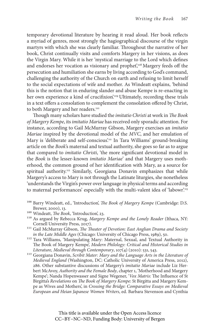temporary devotional literature by hearing it read aloud. Her book reflects a myriad of genres, most strongly the hagiographical discourse of the virgin martyrs with which she was clearly familiar. Throughout the narrative of her book, Christ continually visits and comforts Margery in her visions, as does the Virgin Mary. While it is her 'mystical marriage to the Lord which defines and endorses her vocation as visionary and prophet',<sup>108</sup> Margery feeds off the persecution and humiliation she earns by living according to God's command, challenging the authority of the Church on earth and refusing to limit herself to the social expectations of wife and mother. As Windeatt explains, 'behind this is the notion that in enduring slander and abuse Kempe is re-enacting in her own experience a kind of crucifixion<sup>'109</sup> Ultimately, recording these trials in a text offers a consolation to complement the consolation offered by Christ, to both Margery and her readers.<sup>110</sup>

Though many scholars have studied the *imitatio Christi* at work in *The Book of Margery Kempe*, its *imitatio Mariae* has received only sporadic attention. For instance, according to Gail McMurray Gibson, Margery exercises an *imitatio Mariae* inspired by the devotional model of the *MVC*, and her emulation of Mary is 'deliberate and self-conscious'.<sup>111</sup> In Tara Williams' ground-breaking article on the *Book*'s maternal and textual authority, she goes so far as to argue that compared to *imitatio Christi*, 'the more significant devotional model in the *Book* is the lesser-known *imitatio Mariae*' and that Margery uses motherhood, the common ground of her identification with Mary, as a source for spiritual authority.<sup>112</sup> Similarly, Georgiana Donavin emphasizes that while Margery's access to Mary is not through the Latinate liturgies, she nonetheless 'understands the Virgin's power over language in physical terms and according to maternal performances' especially with the multi-valent idea of 'labowr'.<sup>113</sup>

- 108 Barry Windeatt, ed., 'Introduction', *The Book of Margery Kempe* (Cambridge: D.S. Brewer, 2000), 13.
- <sup>109</sup> Windeatt, *The Book*, 'Introduction', 23.
- 110 As argued by Rebecca Krug, *Margery Kempe and the Lonely Reader* (Ithaca, NY: Cornell University Press, 2017).
- 111 Gail McMurray Gibson, *The Theater of Devotion: East Anglian Drama and Society in the Late Middle Ages* (Chicago: University of Chicago Press, 1989), 50.
- <sup>112</sup> Tara Williams, 'Manipulating Mary: Maternal, Sexual, and Textual Authority in The Book of Margery Kempe', *Modern Philology: Critical and Historical Studies in Literature, Medieval through Contemporary*, 107(4) (2010): 531, 543.
- 113 Georgiana Donavin, *Scribit Mater: Mary and the Language Arts in the Literature of Medieval England* (Washington, DC: Catholic University of America Press, 2012), 286. Other substantive discussions of Margery's *imitatio Mariae* include Liz Herbert McAvoy, *Authority and the Female Body*, chapter 1, 'Motherhood and Margery Kempe'; Nanda Hopenwasser and Signe Wegener, '*Vox Matris*: The Influence of St Birgitta's *Revelations* on *The Book of Margery Kempe*: St Birgitta and Margery Kempe as Wives and Mothers', in *Crossing the Bridge: Comparative Essays on Medieval European and Heian Japanese Women Writers*, ed. Barbara Stevenson and Cynthia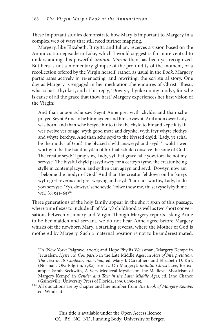These important studies demonstrate how Mary is important to Margery in a complex web of ways that still need further mapping.

Margery, like Elizabeth, Birgitta and Julian, receives a vision based on the Annunciation episode in Luke, which I would suggest is far more central to understanding this powerful *imitatio Mariae* than has been yet recognized. But hers is not a momentary glimpse of the profundity of the moment, or a recollection offered by the Virgin herself; rather, as usual in the *Book*, Margery participates actively in re-enacting, and rewriting, the scriptural story. One day as Margery is engaged in her meditation she enquires of Christ, 'Jhesu, what schal I thynke?', and at his reply, 'Dowtyr, thynke on my modyr, for sche is cause of all the grace that thow hast,' Margery experiences her first vision of the Virgin:

And than anoon sche saw Seynt Anne gret wyth chylde, and than sche preyed Seynt Anne to be hir mayden and hir servawnt. And anon ower Lady was born, and than sche besyde hir to take the chyld to hir and kepe it tyl it wer twelve yer of age, wyth good mete and drynke, wyth fayr whyte clothys and whyte kerchys. And than sche seyd to the blyssed chyld: 'Lady, ye schal be the modyr of God.' The blyssed chyld answeryd and seyd: 'I wold I wer worthy to be the handmayden of hir that schuld conseive the sone of God.' The creatur seyd: 'I pray yow, Lady, yyf that grace falle yow, forsake not my servyse.' The blysful chyld passyd awey for a certeyn tyme, the creatur being stylle in contemplacyon, and sythen cam ageyn and seyd: 'Dowtyr, now am I bekome the modyr of God.' And than the creatur fel down on hir kneys wyth gret reverns and gret wepyng and seyd: 'I am not worthy, Lady, to do yow servyse.' 'Yys, dowtyr,' sche seyde, 'folwe thow me, thi servyse lykyth me wel.'  $(6: 541-65)^{114}$ 

Three generations of the holy family appear in the short span of this passage, where time flexes to include all of Mary's childhood as well as two short conversations between visionary and Virgin. Though Margery reports asking Anne to be her maiden and servant, we do not hear Anne agree before Margery whisks off the newborn Mary, a startling reversal where the Mother of God is mothered by Margery. Such a maternal position is not to be underestimated:

Ho (New York: Palgrave, 2000); and Hope Phyllis Weissman, 'Margery Kempe in Jerusalem: *Hysterica Compassio* in the Late Middle Ages', in *Acts of Interpretation: The Text in Its Contexts, 700–1600*, ed. Mary J. Carruthers and Elizabeth D. Kirk (Norman, OK: Pilgrim, 1982), 201–17. On Margery's *imitatio Christi*, see, for example, Sarah Beckwith, 'A Very Medieval Mysticism: The Medieval Mysticism of Margery Kempe', in *Gender and Text in the Later Middle Ages*, ed. Jane Chance (Gainesville: University Press of Florida, 1996), 195–215.

<sup>114</sup> All quotations are by chapter and line number from *The Book of Margery Kempe*, ed. Windeatt.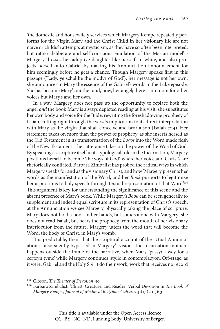'the domestic and housewifely services which Margery Kempe repeatedly performs for the Virgin Mary and the Christ Child in her visionary life are not naïve or childish attempts at mysticism, as they have so often been interpreted, but rather deliberate and self-conscious emulation of the Marian model'.<sup>115</sup> Margery dresses her adoptive daughter like herself, in white, and also projects herself onto Gabriel by making his Annunciation announcement for him seemingly before he gets a chance. Though Margery speaks first in this passage ('Lady, ye schal be the modyr of God'), her message is not her own: she announces to Mary the essence of the Gabriel's words in the Luke episode. She has become Mary's mother and, now, her angel; there is no room for other voices but Mary's and her own.

In a way, Margery does not pass up the opportunity to replace both the angel *and* the book Mary is always depicted reading at his visit: she substitutes her own body and voice for the Bible, rewriting the foreshadowing prophecy of Isaiah, cutting right through the verse's implication to its direct interpretation with Mary as the virgin that shall conceive and bear a son (Isaiah 7:14). Her statement takes on more than the power of prophecy, as she inserts herself as the Old Testament in its transformation of the *Logos* into the Word made flesh of the New Testament – her utterance takes on the power of the Word of God. By speaking as scripture itself in its typological role in the Incarnation, Margery positions herself to become 'the voys of God', where her voice and Christ's are rhetorically conflated. Barbara Zimbalist has probed the radical ways in which Margery speaks for and as the visionary Christ, and how 'Margery presents her words as the manifestation of the Word, and her *Book* purports to legitimize her aspirations to holy speech through textual representation of that Word.'<sup>116</sup> This argument is key for understanding the significance of this scene and the absent presence of Mary's book. While Margery's *Book* can be seen generally to supplement and indeed equal scripture in its representation of Christ's speech, at the Annunciation we see Margery physically taking the place of scripture: Mary does not hold a book in her hands, but stands alone with Margery; she does not read Isaiah, but hears the prophecy from the mouth of her visionary interlocutor from the future. Margery utters the word that will become the Word, the body of Christ, in Mary's womb.

It is predictable, then, that the scriptural account of the actual Annunciation is also silently bypassed in Margery's vision. The Incarnation moment happens outside the frame of the narrative, when Mary 'passyd awey for a certeyn tyme' while Margery continues 'stylle in contemplacyon'. Off-stage, as it were, Gabriel and the Holy Spirit do their work, work that receives no record

<sup>115</sup> Gibson, *The Theater of Devotion*, 50.

<sup>116</sup> Barbara Zimbalist, 'Christ, Creature, and Reader: Verbal Devotion in *The Book of Margery Kempe'*, *Journal of Medieval Religious Cultures* 41(1) (2015): 3.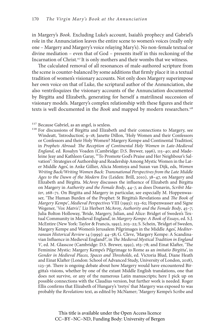in Margery's *Book*. Excluding Luke's account, Isaiah's prophecy and Gabriel's role in the Annunciation leaves the entire scene to women's voices (really only one – Margery and Margery's voice relaying Mary's). No non-female textual or divine mediation – even that of God – presents itself in this reckoning of the Incarnation of Christ.<sup>117</sup> It is only mothers and their wombs that we witness.

The calculated removal of all resonances of male-authored scripture from the scene is counter-balanced by some additions that firmly place it in a textual tradition of women's visionary accounts. Not only does Margery superimpose her own voice on that of Luke, the scriptural author of the Annunciation, she also ventriloquizes the visionary accounts of the Annunciation documented by Birgitta and Elizabeth, generating for herself a matrilineal succession of visionary models. Margery's complex relationship with these figures and their texts is well documented in the *Book* and mapped by modern researchers.<sup>118</sup>

<sup>117</sup> Because Gabriel, as an angel, is sexless.

<sup>118</sup> For discussions of Birgitta and Elizabeth and their connections to Margery, see Windeatt, 'Introduction', 9–18; Janette Dillon, 'Holy Women and their Confessors or Confessors and their Holy Women? Margery Kempe and Continental Tradition', in *Prophets Abroad: The Reception of Continental Holy Women in Late-Medieval England*, ed. Rosalyn Voaden (Cambridge: D.S. Brewer, 1996), 115–40; and Madeleine Jeay and Kathleen Garay, '"To Promote God's Praise and Her Neighbour's Salvation": Strategies of Authorship and Readership Among Mystic Women in the Later Middle Ages', in Anke Gillier, Alicia Montoya and Suzan van Dijk, eds, *Women Writing Back/Writing Women Back: Transnational Perspectives from the Late Middle Ages to the Dawn of the Modern Era* (Leiden: Brill, 2010), 38–47, on Margery and Elizabeth and Birgitta. McAvoy discusses the influence of Elizabeth and Birgitta on Margery in *Authority and the Female Body*, 44–7, as does Donavin, *Scribit Mater*, 268–71. On Birgitta and Margery in particular, see especially M. Hoppenwasser, 'The Human Burden of the Prophet: St Birgitta's Revelations and *The Book of Margery Kempe'*, *Medieval Perspectives* VIII (1993): 153–62; Hopenwasser and Signe Wegener, '*Vox Matris'*;' Liz Herbert McAvoy, *Authority and the Female Body*, 45–7; Julia Bolton Holloway, 'Bride, Margery, Julian, and Alice: Bridget of Sweden's Textual Community in Medieval England', in *Margery Kempe: A Book of Essays*, ed. S.J. McEntire (New York: Taylor & Francis, 1992), 203–22; S. Schein, 'Bridget of Sweden, Margery Kempe and Women's Jerusalem Pilgrimages in the Middle Ages', *Mediterranean Historical Review* 14 (1999): 44–58; G. Cleve, 'Margery Kempe: A Scandinavian Influence in Medieval England?', in *The Medieval Mystical Tradition in England V*, ed. M. Glasscoe (Cambridge: D.S. Brewer, 1992), 163–78; and Einat Klafter, 'The Feminine Mystic: Margery Kempe's Pilgrimage to Rome as an *imitatio Birgitta'*, in *Gender in Medieval Places, Spaces and Thresholds*, ed. Victoria Blud, Diane Heath and Einat Klafter (London: School of Advanced Study, University of London, 2018), 123–36. There is ongoing debate about how Margery would have encountered Birgitta's visions, whether by one of the extant Middle English translations, one that does not survive, or any of the numerous Latin manuscripts; here I pick up on possible connections with the Claudius version, but further work is needed. Roger Ellis confirms that Elizabeth of Hungary's 'tretys' that Margery was exposed to was probably the *Revelations* text, as edited by McNamer; 'Margery Kempe's Scribe and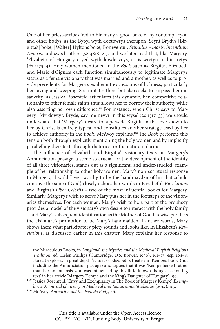One of her priest-scribes 'red to hir many a good boke of hy contemplacyon and other bodys, as the Bybyl wyth doctowrys therupon, Seynt Brydys [Birgitta's] boke, [Walter] Hyltons boke, Boneventur, *Stimulus Amoris*, *Incendium Amoris*, and swech other' (58.4818–21), and we later read that, like Margery, 'Elizabeth of Hungary cryed wyth lowde voys, as is wretyn in hir tretys' (62:5173–4). Holy women mentioned in the *Book* such as Birgitta, Elizabeth and Marie d'Oignies each function simultaneously to legitimate Margery's status as a female visionary that was married and a mother, as well as to provide precedents for Margery's exuberant expressions of holiness, particularly her raving and weeping. She imitates them but also seeks to surpass them in sanctity; as Jessica Rosenfeld articulates this dynamic, her 'competitive relationship to other female saints thus allows her to borrow their authority while also asserting her own difference'.<sup>119</sup> For instance, when Christ says to Margery, 'My dowtyr, Bryde, say me nevyr in this wyse' (20:1517–33) we should understand that 'Margery's desire to supersede Birgitta in the love shown to her by Christ is entirely typical and constitutes another strategy used by her to achieve authority in the *Book*,' McAvoy explains.120 The *Book* performs this tension both through explicitly mentioning the holy women and by implicitly parallelling their texts through rhetorical or thematic similarities.

The influence of Elizabeth and Birgitta's visionary texts on Margery's Annunciation passage, a scene so crucial for the development of the identity of all three visionaries, stands out as a significant, and under-studied, example of her relationship to other holy women. Mary's non-scriptural response to Margery, 'I wold I wer worthy to be the handmayden of hir that schuld conseive the sone of God,' closely echoes her words in Elizabeth's *Revelations* and Birgitta's *Liber Celestis* – two of the most influential books for Margery. Similarly, Margery's wish to serve Mary puts her in the footsteps of the visionaries themselves. For each woman, Mary's wish to be a part of the prophecy provides a model of the visionary's own desire to interact with the holy family – and Mary's subsequent identification as the Mother of God likewise parallels the visionary's promotion to be Mary's handmaiden. In other words, Mary shows them what participatory piety sounds and looks like. In Elizabeth's *Revelations*, as discussed earlier in this chapter, Mary explains her response to

the Miraculous Books', in *Langland, the Mystics and the Medieval English Religious Tradition*, ed. Helen Phillips (Cambridge: D.S. Brewer, 1990), 161–75, esp. 164–8. Barratt explores in great depth 'echoes of Elizabeth's treatise in Kempe's book' (not including the Annunciation passage) and argues that it was 'Kempe herself rather than her amanuensis who was influenced by this little-known though fascinating text' in her article 'Margery Kempe and the King's Daughter of Hungary', 190.

<sup>&</sup>lt;sup>119</sup> Jessica Rosenfeld, 'Envy and Exemplarity in The Book of Margery Kempe', *Exemplaria: A Journal of Theory in Medieval and Renaissance Studies* 26 (2014): 107.

<sup>120</sup> McAvoy, *Authority and the Female Body*, 46.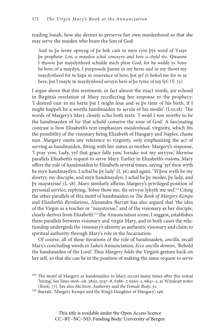reading Isaiah, how she desires to preserve her own maidenhood so that she may serve the maiden who bears the Son of God:

And in þe ferste opnyng of þe bok cam to myn eyin þys word of Ysaye þe prophete: *Loo, a maydyn schal conceyve and bere a chyld &c.* Qwanne I thowte þat maydynheed schulde mich plese God, for he wolde ys Sone be bore of a maydyn, I purposede þanne in my herte and in my thowt my maydynheed for to kepe in reuerence of here, þat ȝyf yt befeel me for to se here, þat I mayte in maydynheed seruyn here al þe tyme of my lyf. (V, 72)

I argue above that this sentiment, in fact almost the exact words, are echoed in Birgitta's revelation of Mary recollecting her response to the prophecy: 'I desired euir in mi herte þat I might leue and se þe time of his birth, if I might happeli be a worthi handmaiden to seruis of his modir' (I.10:18). The words of Margery's Mary closely echo both texts: 'I wold I wer worthy to be the handmayden of hir that schuld conseive the sone of God.' A fascinating contrast is how Elizabeth's text emphasizes *maidenhead*, virginity, which fits the possibility of the visionary being Elizabeth of Hungary and Naples, chaste nun. Margery omits any reference to virginity, only emphasizing the act of serving as handmaiden, fitting with her status as mother. Margery's response, 'I pray yow, Lady, yyf that grace falle yow, forsake not my servyse,' likewise parallels Elizabeth's request to serve Mary. Earlier in Elizabeth's visions, Mary offers the role of handmaiden to Elizabeth several times, saying 'ȝyf thou wyth be myn handmaydyn, I schal be þy lady' (I, 56) and again, 'Yf þou wyth be my dowtyr, my discyple, and myn handmaydyn, I schal be þy moder, þy lady, and þy maystresse' (I, 58). Mary similarly affirms Margery's privileged position of personal service, replying, 'folwe thow me, thi servyse lykyth me wel'.<sup>121</sup> Citing the other parallels of this motif of handmaiden in *The Book of Margery Kempe*  and Elizabeth's *Revelations*, Alexandra Barratt has also argued that 'the idea of the Virgin as a teacher or "maystresse," and of the visionary as her disciple, clearly derives from Elizabeth'.122 The Annunciation scene, I suggest, establishes these parallels between visionary and virgin Mary, and in both cases the relationship undergirds the visionary's identity as authentic visionary and claim to spiritual authority through Mary's role in the Incarnation.

Of course, all of these iterations of the role of handmaiden, *ancilla*, recall Mary's concluding words in Luke's Annunciation, *Ecce ancilla domini*, 'Behold the handmaiden of the Lord.' Thus Margery folds the Virgin's gesture back on her self, so that she can be in the position of making the same request to serve

<sup>&</sup>lt;sup>121</sup> The motif of Margery as handmaiden to Mary recurs many times after this initial 'hiring'. See lines 1606–08, 2802, 3037–8, 6386–7, 6560–1, 6841–2, as Windeatt notes (*Book*, 77). See also McAvoy, *Authority and the Female Body*, 51.

<sup>122</sup> Barratt, 'Margery Kempe and the King's Daughter of Hungary', 196.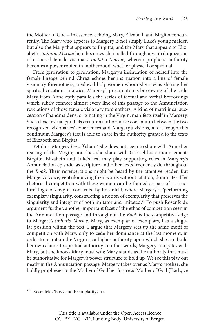the Mother of God – in essence, echoing Mary, Elizabeth and Birgitta concurrently. The Mary who appears to Margery is not simply Luke's young maiden but also the Mary that appears to Birgitta, and the Mary that appears to Elizabeth. *Imitatio Mariae* here becomes channelled through a ventriloquization of a shared female visionary *imitatio Mariae*, wherein prophetic authority becomes a power rooted in motherhood, whether physical or spiritual.

From generation to generation, Margery's insinuation of herself into the female lineage behind Christ echoes her insinuation into a line of female visionary foremothers, medieval holy women whom she saw as sharing her spiritual vocation. Likewise, Margery's presumptuous borrowing of the child Mary from Anne aptly parallels the series of textual and verbal borrowings which subtly connect almost every line of this passage to the Annunciation revelations of those female visionary foremothers. A kind of matrilineal succession of handmaidens, originating in the Virgin, manifests itself in Margery. Such close textual parallels create an authoritative continuum between the two recognized visionaries' experiences and Margery's visions, and through this continuum Margery's text is able to share in the authority granted to the texts of Elizabeth and Birgitta.

Yet does Margery *herself* share? She does not seem to share with Anne her rearing of the Virgin; nor does she share with Gabriel his announcement. Birgitta, Elizabeth and Luke's text may play supporting roles in Margery's Annunciation episode, as scripture and other texts frequently do throughout the *Book*. Their reverberations might be heard by the attentive reader. But Margery's voice, ventriloquizing their words without citation, dominates. Her rhetorical competition with these women can be framed as part of a structural logic of envy, as construed by Rosenfeld, where Margery is 'performing exemplary singularity, constructing a notion of exemplarity that preserves the singularity and integrity of both imitator and imitated'.<sup>123</sup> To push Rosenfeld's argument further, another important facet of the ethos of competition seen in the Annunciation passage and throughout the *Book* is the competitive edge to Margery's *imitatio Mariae*. Mary, as exemplar of exemplars, has a singular position within the text. I argue that Margery sets up the same motif of competition with Mary, only to cede her dominance at the last moment, in order to maintain the Virgin as a higher authority upon which she can build her own claims to spiritual authority. In other words, Margery competes with Mary, but she knows Mary must win; Mary stands as the authority that must be authoritative for Margery's power structure to hold up. We see this play out neatly in the Annunciation passage. Margery takes over as Mary's mother; she boldly prophesies to the Mother of God her future as Mother of God ('Lady, ye

<sup>&</sup>lt;sup>123</sup> Rosenfeld, 'Envy and Exemplarity', 111.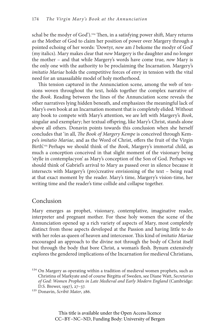schal be the modyr of God').<sup>124</sup> Then, in a satisfying power shift, Mary returns *as* the Mother of God to claim her position of power over Margery through a pointed echoing of her words: 'Dowtyr, *now* am *I* bekome the modyr of God' (my italics). Mary makes clear that *now* Margery is the daughter and no longer the mother – and that while Margery's words have come true, *now* Mary is the only one with the authority to be proclaiming the Incarnation. Margery's *imitatio Mariae* holds the competitive forces of envy in tension with the vital need for an unassailable model of holy motherhood.

This tension captured in the Annunciation scene, among the web of tensions woven throughout the text, holds together the complex narrative of the *Book*. Reading between the lines of the Annunciation scene reveals the other narratives lying hidden beneath, and emphasizes the meaningful lack of Mary's own book at an Incarnation moment that is completely elided. Without any book to compete with Mary's attention, we are left with Margery's *Book*, singular and exemplary; her textual offspring, like Mary's Christ, stands alone above all others. Donavin points towards this conclusion when she herself concludes that 'in all, *The Book of Margery Kempe* is conceived through Kempe's *imitatio Mariae*, and as the Word of Christ, offers the fruit of the Virgin Birth'.125 Perhaps we should think of the *Book*, Margery's immortal child, as much a conception conceived in that slight moment of the visionary being 'stylle in contemplacyon' as Mary's conception of the Son of God. Perhaps we should think of Gabriel's arrival to Mary as passed over in silence because it intersects with Margery's (pro)creative envisioning of the text – being read at that exact moment by the reader. Mary's time, Margery's vision-time, her writing time and the reader's time collide and collapse together.

### Conclusion

Mary emerges as prophet, visionary, contemplative, imaginative reader, interpreter and pregnant mother. For these holy women the scene of the Annunciation opened up a rich variety of aspects of Mary, most completely distinct from those aspects developed at the Passion and having little to do with her roles as queen of heaven and intercessor. This kind of *imitatio Mariae* encouraged an approach to the divine not through the body of Christ itself but through the body that bore Christ, a woman's flesh. Bynum extensively explores the gendered implications of the Incarnation for medieval Christians,

<sup>&</sup>lt;sup>124</sup> On Margery as operating within a tradition of medieval women prophets, such as Christina of Markyate and of course Birgitta of Sweden, see Diane Watt, *Secretaries of God: Women Prophets in Late Medieval and Early Modern England* (Cambridge: D.S. Brewer, 1997), 27–37.

<sup>125</sup> Donavin, *Scribit Mater*, 286.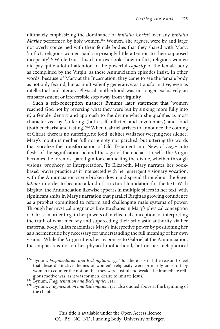ultimately emphasizing the dominance of *imitatio Christi* over any *imitatio Mariae* performed by holy women.<sup>126</sup> Women, she argues, were by and large not overly concerned with their female bodies that they shared with Mary; 'in fact, religious women paid surprisingly little attention to their supposed incapacity'.127 While true, this claim overlooks how in fact, religious women did pay quite a lot of attention to the powerful *capacity* of the female body as exemplified by the Virgin, as these Annunciation episodes insist. In other words, because of Mary at the Incarnation, they came to see the female body as not only fecund, but as multivalently generative, as transformative, even as intellectual and literary. Physical motherhood was no longer exclusively an embarrassment or irreversible step away from virginity.

Such a self-conception nuances Bynum's later statement that 'women reached God not by reversing what they were but by sinking more fully into it', a female identity and approach to the divine which she qualifies as most characterized by 'suffering (both self-inflicted and involuntary) and food (both eucharist and fasting)'.128 When Gabriel arrives to announce the coming of Christ, there is no suffering, no food, neither wails nor weeping nor silence. Mary's mouth is neither full nor empty nor parched, but uttering the words that vocalize the transformation of Old Testament into New, of *Logos* into flesh, of the signification behind the sign of the eucharist itself. The Virgin becomes the foremost paradigm for channelling the divine, whether through visions, prophecy, or interpretation. To Elizabeth, Mary narrates her bookbased prayer practice as it intersected with her emergent visionary vocation, with the Annunciation scene broken down and spread throughout the *Revelations* in order to become a kind of structural foundation for the text. With Birgitta, the Annunciation likewise appears in multiple places in her text, with significant shifts in Mary's narration that parallel Birgitta's growing confidence as a prophet committed to reform and challenging male systems of power. Through her mystical pregnancy Birgitta shares in Mary's physical conception of Christ in order to gain her powers of intellectual conception, of interpreting the truth of what men say and superceding their scholastic authority via her maternal body. Julian maximizes Mary's interpretive power by positioning her as a hermeneutic key necessary for understanding the full meaning of her own visions. While the Virgin utters her responses to Gabriel at the Annunciation, the emphasis is not on her physical motherhood, but on her metaphorical

<sup>126</sup> Bynum, *Fragmentation and Redemption*, 155: 'But there is still little reason to feel that these distinctive themes of women's religiosity were primarily an effort by women to counter the notion that they were lustful and weak. The immediate religious motive was, as it was for men, desire to imitate Jesus.'

<sup>127</sup> Bynum, *Fragmentation and Redemption*, 154.

<sup>128</sup> Bynum, *Fragmentation and Redemption*, 172, also quoted above at the beginning of the chapter.